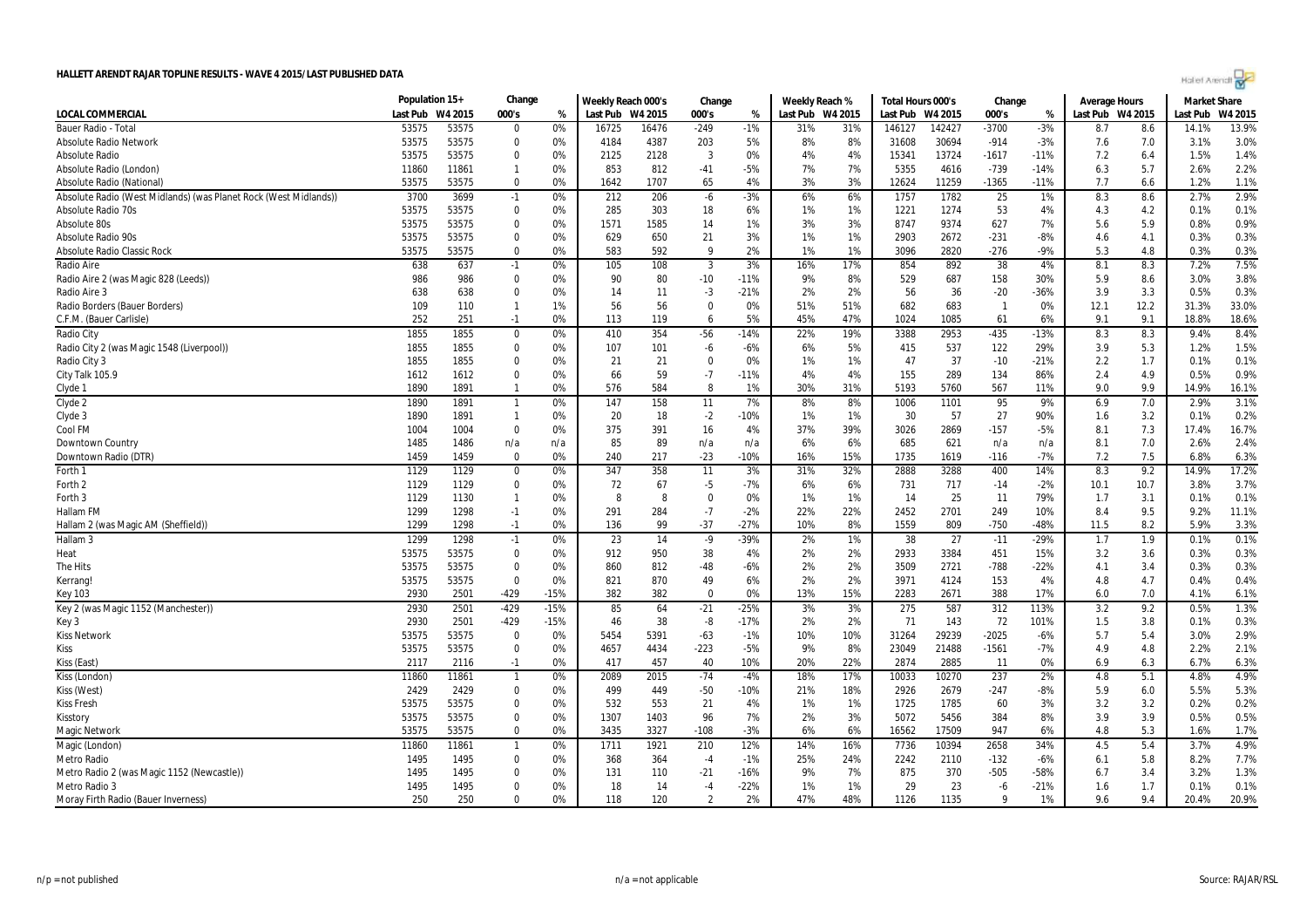| Holler Arendt |  |  |  |
|---------------|--|--|--|
|               |  |  |  |

|                                                                  | Population 15+ |         | Change         |        | Weekly Reach 000's |         | Change         |        | Weekly Reach % |                  | Total Hours 000's |         | Change         |        | Average Hours    |      | <b>Market Share</b> |         |
|------------------------------------------------------------------|----------------|---------|----------------|--------|--------------------|---------|----------------|--------|----------------|------------------|-------------------|---------|----------------|--------|------------------|------|---------------------|---------|
| <b>LOCAL COMMERCIAL</b>                                          | Last Pub       | W4 2015 | 000's          | %      | Last Pub           | W4 2015 | 000's          | %      |                | Last Pub W4 2015 | Last Pub          | W4 2015 | 000's          | %      | Last Pub W4 2015 |      | Last Pub            | W4 2015 |
| Bauer Radio - Total                                              | 53575          | 53575   | 0              | 0%     | 16725              | 16476   | $-249$         | $-1%$  | 31%            | 31%              | 146127            | 142427  | $-3700$        | $-3%$  | 8.7              | 8.6  | 14.1%               | 13.9%   |
| <b>Absolute Radio Network</b>                                    | 53575          | 53575   | $\Omega$       | 0%     | 4184               | 4387    | 203            | 5%     | 8%             | 8%               | 31608             | 30694   | $-914$         | $-3%$  | 7.6              | 7.0  | 3.1%                | 3.0%    |
| Absolute Radio                                                   | 53575          | 53575   | $\mathbf 0$    | 0%     | 2125               | 2128    | 3              | 0%     | 4%             | 4%               | 15341             | 13724   | $-1617$        | $-11%$ | 7.2              | 6.4  | 1.5%                | 1.4%    |
| Absolute Radio (London)                                          | 11860          | 11861   | $\mathbf{1}$   | 0%     | 853                | 812     | $-41$          | $-5%$  | 7%             | 7%               | 5355              | 4616    | $-739$         | $-14%$ | 6.3              | 5.7  | 2.6%                | 2.2%    |
| Absolute Radio (National)                                        | 53575          | 53575   | 0              | 0%     | 1642               | 1707    | 65             | 4%     | 3%             | 3%               | 12624             | 11259   | $-1365$        | $-11%$ | 7.7              | 6.6  | 1.2%                | 1.1%    |
| Absolute Radio (West Midlands) (was Planet Rock (West Midlands)) | 3700           | 3699    | $-1$           | 0%     | 212                | 206     | -6             | $-3%$  | 6%             | 6%               | 1757              | 1782    | 25             | 1%     | 8.3              | 8.6  | 2.7%                | 2.9%    |
| Absolute Radio 70s                                               | 53575          | 53575   | 0              | 0%     | 285                | 303     | 18             | 6%     | 1%             | 1%               | 1221              | 1274    | 53             | 4%     | 4.3              | 4.2  | 0.1%                | 0.1%    |
| Absolute 80s                                                     | 53575          | 53575   | $\mathbf 0$    | 0%     | 1571               | 1585    | 14             | 1%     | 3%             | 3%               | 8747              | 9374    | 627            | 7%     | 5.6              | 5.9  | 0.8%                | 0.9%    |
| <b>Absolute Radio 90s</b>                                        | 53575          | 53575   | 0              | 0%     | 629                | 650     | 21             | 3%     | 1%             | 1%               | 2903              | 2672    | $-231$         | -8%    | 4.6              | 4.1  | 0.3%                | 0.3%    |
| <b>Absolute Radio Classic Rock</b>                               | 53575          | 53575   | $\mathbf 0$    | 0%     | 583                | 592     | 9              | 2%     | 1%             | 1%               | 3096              | 2820    | $-276$         | $-9%$  | 5.3              | 4.8  | 0.3%                | 0.3%    |
| Radio Aire                                                       | 638            | 637     | $-1$           | 0%     | 105                | 108     | $\mathbf{3}$   | 3%     | 16%            | 17%              | 854               | 892     | 38             | 4%     | 8.1              | 8.3  | 7.2%                | 7.5%    |
| Radio Aire 2 (was Magic 828 (Leeds))                             | 986            | 986     | $\mathbf 0$    | 0%     | 90                 | 80      | $-10$          | $-11%$ | 9%             | 8%               | 529               | 687     | 158            | 30%    | 5.9              | 8.6  | 3.0%                | 3.8%    |
| Radio Aire 3                                                     | 638            | 638     | $\mathbf 0$    | 0%     | 14                 | 11      | $-3$           | $-21%$ | 2%             | 2%               | 56                | 36      | $-20$          | $-36%$ | 3.9              | 3.3  | 0.5%                | 0.3%    |
| Radio Borders (Bauer Borders)                                    | 109            | 110     | $\mathbf{1}$   | 1%     | 56                 | 56      | $\mathbf 0$    | 0%     | 51%            | 51%              | 682               | 683     | $\overline{1}$ | 0%     | 12.1             | 12.2 | 31.3%               | 33.0%   |
| C.F.M. (Bauer Carlisle)                                          | 252            | 251     | $-1$           | 0%     | 113                | 119     | 6              | 5%     | 45%            | 47%              | 1024              | 1085    | 61             | 6%     | 9.1              | 9.1  | 18.8%               | 18.6%   |
| Radio City                                                       | 1855           | 1855    | 0              | 0%     | 410                | 354     | $-56$          | -14%   | 22%            | 19%              | 3388              | 2953    | $-435$         | $-13%$ | 8.3              | 8.3  | 9.4%                | 8.4%    |
| Radio City 2 (was Magic 1548 (Liverpool))                        | 1855           | 1855    | $\mathbf 0$    | 0%     | 107                | 101     | -6             | -6%    | 6%             | 5%               | 415               | 537     | 122            | 29%    | 3.9              | 5.3  | 1.2%                | 1.5%    |
| Radio City 3                                                     | 1855           | 1855    | $\Omega$       | 0%     | 21                 | 21      | $\Omega$       | 0%     | 1%             | 1%               | 47                | 37      | $-10$          | $-21%$ | 2.2              | 1.7  | 0.1%                | 0.1%    |
| City Talk 105.9                                                  | 1612           | 1612    | $\mathbf 0$    | 0%     | 66                 | 59      | $-7$           | -11%   | 4%             | 4%               | 155               | 289     | 134            | 86%    | 2.4              | 4.9  | 0.5%                | 0.9%    |
| Clyde 1                                                          | 1890           | 1891    | $\mathbf{1}$   | 0%     | 576                | 584     | 8              | 1%     | 30%            | 31%              | 5193              | 5760    | 567            | 11%    | 9.0              | 9.9  | 14.9%               | 16.1%   |
| Clyde 2                                                          | 1890           | 1891    | $\overline{1}$ | $0\%$  | 147                | 158     | 11             | 7%     | 8%             | 8%               | 1006              | 1101    | 95             | 9%     | 6.9              | 7.0  | 2.9%                | 3.1%    |
| Clyde 3                                                          | 1890           | 1891    | $\mathbf{1}$   | 0%     | 20                 | 18      | $-2$           | $-10%$ | 1%             | 1%               | 30                | 57      | 27             | 90%    | 1.6              | 3.2  | 0.1%                | 0.2%    |
| Cool FM                                                          | 1004           | 1004    | 0              | 0%     | 375                | 391     | 16             | 4%     | 37%            | 39%              | 3026              | 2869    | $-157$         | $-5%$  | 8.1              | 7.3  | 17.4%               | 16.7%   |
| Downtown Country                                                 | 1485           | 1486    | n/a            | n/a    | 85                 | 89      | n/a            | n/a    | 6%             | 6%               | 685               | 621     | n/a            | n/a    | 8.1              | 7.0  | 2.6%                | 2.4%    |
| Downtown Radio (DTR)                                             | 1459           | 1459    | 0              | 0%     | 240                | 217     | $-23$          | $-10%$ | 16%            | 15%              | 1735              | 1619    | $-116$         | $-7%$  | 7.2              | 7.5  | 6.8%                | 6.3%    |
| Forth 1                                                          | 1129           | 1129    | 0              | 0%     | 347                | 358     | 11             | 3%     | 31%            | 32%              | 2888              | 3288    | 400            | 14%    | 8.3              | 9.2  | 14.9%               | 17.2%   |
| Forth 2                                                          | 1129           | 1129    | 0              | 0%     | 72                 | 67      | $-5$           | -7%    | 6%             | 6%               | 731               | 717     | $-14$          | -2%    | 10.1             | 10.7 | 3.8%                | 3.7%    |
| Forth 3                                                          | 1129           | 1130    | $\mathbf{1}$   | 0%     | 8                  | 8       | $\mathbf 0$    | 0%     | 1%             | 1%               | 14                | 25      | 11             | 79%    | 1.7              | 3.1  | 0.1%                | 0.1%    |
| Hallam FM                                                        | 1299           | 1298    | $-1$           | 0%     | 291                | 284     | $-7$           | $-2%$  | 22%            | 22%              | 2452              | 2701    | 249            | 10%    | 8.4              | 9.5  | 9.2%                | 11.1%   |
| Hallam 2 (was Magic AM (Sheffield))                              | 1299           | 1298    | $-1$           | 0%     | 136                | 99      | $-37$          | $-27%$ | 10%            | 8%               | 1559              | 809     | $-750$         | -48%   | 11.5             | 8.2  | 5.9%                | 3.3%    |
| Hallam <sub>3</sub>                                              | 1299           | 1298    | $-1$           | 0%     | 23                 | 14      | $-9$           | -39%   | 2%             | 1%               | 38                | 27      | $-11$          | $-29%$ | 1.7              | 1.9  | 0.1%                | 0.1%    |
| Heat                                                             | 53575          | 53575   | 0              | 0%     | 912                | 950     | 38             | 4%     | 2%             | 2%               | 2933              | 3384    | 451            | 15%    | 3.2              | 3.6  | 0.3%                | 0.3%    |
| The Hits                                                         | 53575          | 53575   | 0              | 0%     | 860                | 812     | $-48$          | $-6%$  | 2%             | 2%               | 3509              | 2721    | $-788$         | $-22%$ | 4.1              | 3.4  | 0.3%                | 0.3%    |
| Kerrang!                                                         | 53575          | 53575   | 0              | 0%     | 821                | 870     | 49             | 6%     | 2%             | 2%               | 3971              | 4124    | 153            | 4%     | 4.8              | 4.7  | 0.4%                | 0.4%    |
| <b>Key 103</b>                                                   | 2930           | 2501    | -429           | $-15%$ | 382                | 382     | $\mathbf 0$    | 0%     | 13%            | 15%              | 2283              | 2671    | 388            | 17%    | 6.0              | 7.0  | 4.1%                | 6.1%    |
| Key 2 (was Magic 1152 (Manchester))                              | 2930           | 2501    | -429           | $-15%$ | 85                 | 64      | $-21$          | $-25%$ | 3%             | 3%               | 275               | 587     | 312            | 113%   | 3.2              | 9.2  | 0.5%                | 1.3%    |
| Key 3                                                            | 2930           | 2501    | -429           | $-15%$ | 46                 | 38      | -8             | $-17%$ | 2%             | 2%               | 71                | 143     | 72             | 101%   | 1.5              | 3.8  | 0.1%                | 0.3%    |
| <b>Kiss Network</b>                                              | 53575          | 53575   | 0              | 0%     | 5454               | 5391    | $-63$          | $-1%$  | 10%            | 10%              | 31264             | 29239   | $-2025$        | $-6%$  | 5.7              | 5.4  | 3.0%                | 2.9%    |
| Kiss                                                             | 53575          | 53575   | 0              | 0%     | 4657               | 4434    | $-223$         | $-5%$  | 9%             | 8%               | 23049             | 21488   | $-1561$        | $-7%$  | 4.9              | 4.8  | 2.2%                | 2.1%    |
| Kiss (East)                                                      | 2117           | 2116    | $-1$           | 0%     | 417                | 457     | 40             | 10%    | 20%            | 22%              | 2874              | 2885    | 11             | 0%     | 6.9              | 6.3  | 6.7%                | 6.3%    |
| Kiss (London)                                                    | 11860          | 11861   | $\mathbf{1}$   | 0%     | 2089               | 2015    | $-74$          | -4%    | 18%            | 17%              | 10033             | 10270   | 237            | 2%     | 4.8              | 5.1  | 4.8%                | 4.9%    |
| Kiss (West)                                                      | 2429           | 2429    | 0              | 0%     | 499                | 449     | $-50$          | $-10%$ | 21%            | 18%              | 2926              | 2679    | $-247$         | -8%    | 5.9              | 6.0  | 5.5%                | 5.3%    |
| <b>Kiss Fresh</b>                                                | 53575          | 53575   | 0              | 0%     | 532                | 553     | 21             | 4%     | 1%             | 1%               | 1725              | 1785    | 60             | 3%     | 3.2              | 3.2  | 0.2%                | 0.2%    |
| Kisstory                                                         | 53575          | 53575   | $\mathbf 0$    | 0%     | 1307               | 1403    | 96             | 7%     | 2%             | 3%               | 5072              | 5456    | 384            | 8%     | 3.9              | 3.9  | 0.5%                | 0.5%    |
| Magic Networl                                                    | 53575          | 53575   | $\mathbf 0$    | 0%     | 3435               | 3327    | $-108$         | $-3%$  | 6%             | 6%               | 16562             | 17509   | 947            | 6%     | 4.8              | 5.3  | 1.6%                | 1.7%    |
| Magic (London)                                                   | 11860          | 11861   | $\mathbf{1}$   | 0%     | 1711               | 1921    | 210            | 12%    | 14%            | 16%              | 7736              | 10394   | 2658           | 34%    | 4.5              | 5.4  | 3.7%                | 4.9%    |
| Metro Radio                                                      | 1495           | 1495    | 0              | 0%     | 368                | 364     | $-4$           | $-1%$  | 25%            | 24%              | 2242              | 2110    | $-132$         | -6%    | 6.1              | 5.8  | 8.2%                | 7.7%    |
| Metro Radio 2 (was Magic 1152 (Newcastle))                       | 1495           | 1495    | $\mathbf 0$    | 0%     | 131                | 110     | $-21$          | $-16%$ | 9%             | 7%               | 875               | 370     | $-505$         | $-58%$ | 6.7              | 3.4  | 3.2%                | 1.3%    |
| Metro Radio 3                                                    | 1495           | 1495    | $\Omega$       | 0%     | 18                 | 14      | $-4$           | $-22%$ | 1%             | 1%               | 29                | 23      | -6             | $-21%$ | 1.6              | 1.7  | 0.1%                | 0.1%    |
| Moray Firth Radio (Bauer Inverness)                              | 250            | 250     | $\Omega$       | 0%     | 118                | 120     | $\overline{2}$ | 2%     | 47%            | 48%              | 1126              | 1135    | $\mathbf{Q}$   | 1%     | 9.6              | 9.4  | 20.4%               | 20.9%   |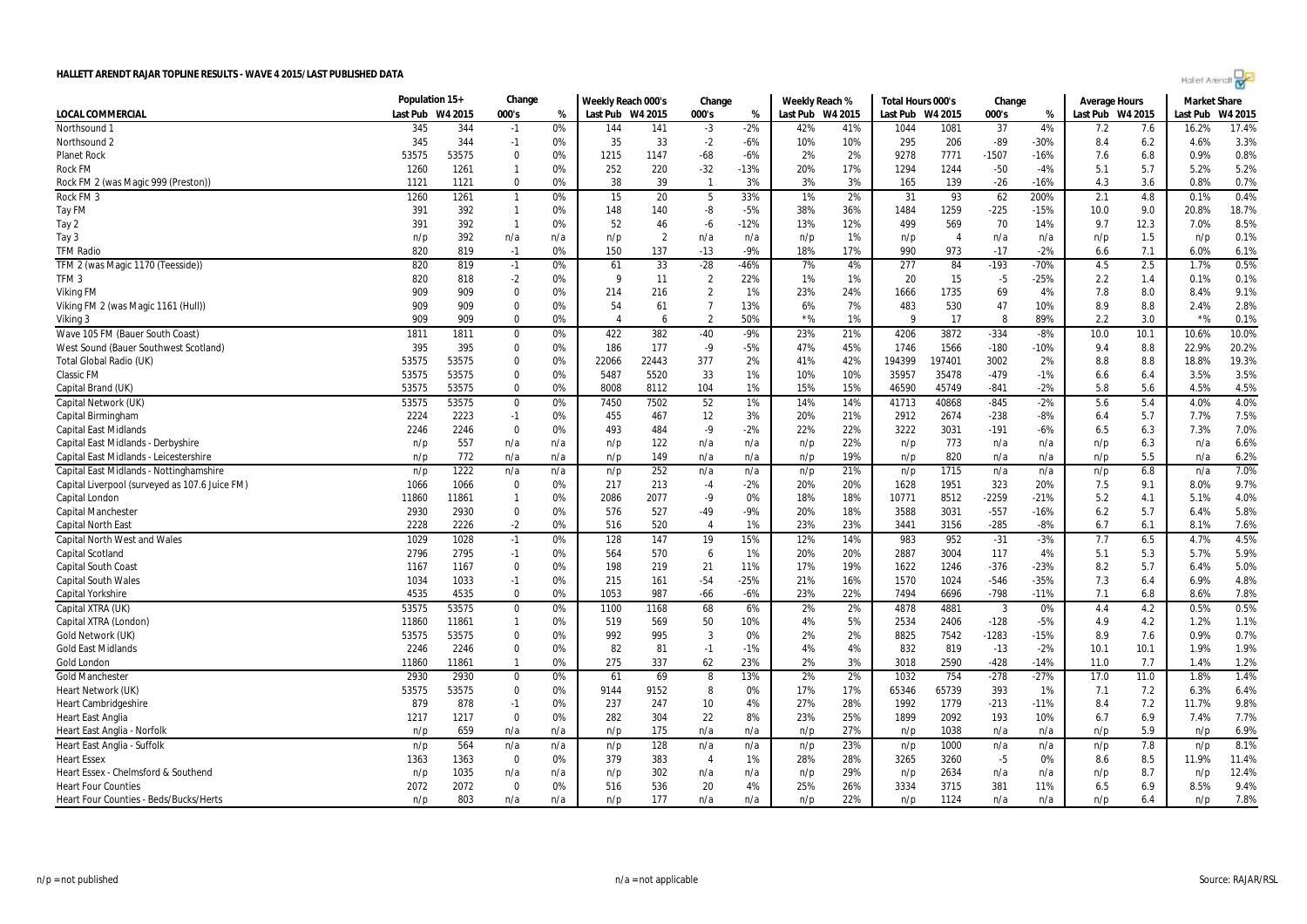|                                                                   | Population 15+ |             | Change             |           | Weekly Reach 000's |                | Change                |           | Weekly Reach %   |            | Total Hours 000's |              | Change                  |            | <b>Average Hours</b> |            | <b>Market Share</b> |         |
|-------------------------------------------------------------------|----------------|-------------|--------------------|-----------|--------------------|----------------|-----------------------|-----------|------------------|------------|-------------------|--------------|-------------------------|------------|----------------------|------------|---------------------|---------|
| <b>LOCAL COMMERCIAL</b>                                           | Last Pub       | W4 2015     | 000's              | %         | Last Pub W4 2015   |                | 000's                 | %         | Last Pub W4 2015 |            | Last Pub          | W4 2015      | 000's                   | %          | Last Pub W4 2015     |            | Last Pub            | W4 2015 |
| Northsound 1                                                      | 345            | 344         | $-1$               | 0%        | 144                | 141            | $-3$                  | $-2%$     | 42%              | 41%        | 1044              | 1081         | 37                      | 4%         | 7.2                  | 7.6        | 16.2%               | 17.4%   |
| Northsound 2                                                      | 345            | 344         | $-1$               | 0%        | 35                 | 33             | $-2$                  | -6%       | 10%              | 10%        | 295               | 206          | $-89$                   | $-30%$     | 8.4                  | 6.2        | 4.6%                | 3.3%    |
| <b>Planet Rock</b>                                                | 53575          | 53575       | $\mathbf 0$        | 0%        | 1215               | 1147           | $-68$                 | $-6%$     | 2%               | 2%         | 9278              | 7771         | $-1507$                 | $-16%$     | 7.6                  | 6.8        | 0.9%                | 0.8%    |
| <b>Rock FM</b>                                                    | 1260           | 1261        | - 1                | 0%        | 252                | 220            | $-32$                 | $-13%$    | 20%              | 17%        | 1294              | 1244         | $-50$                   | $-4%$      | 5.1                  | 5.7        | 5.2%                | 5.2%    |
| Rock FM 2 (was Magic 999 (Preston))                               | 1121           | 1121        | $\mathbf 0$        | 0%        | 38                 | 39             | -1                    | 3%        | 3%               | 3%         | 165               | 139          | $-26$                   | $-16%$     | 4.3                  | 3.6        | 0.8%                | 0.7%    |
| Rock FM 3                                                         | 1260           | 1261        | $\overline{1}$     | 0%        | 15                 | 20             | 5                     | 33%       | 1%               | 2%         | 31                | 93           | 62                      | 200%       | 2.1                  | 4.8        | 0.1%                | 0.4%    |
| Tay FM                                                            | 391            | 392         | $\overline{1}$     | 0%        | 148                | 140            | -8                    | $-5%$     | 38%              | 36%        | 1484              | 1259         | $-225$                  | $-15%$     | 10.0                 | 9.0        | 20.8%               | 18.7%   |
| Tay 2                                                             | 391            | 392         | $\overline{1}$     | 0%        | 52                 | 46             | $-6$                  | $-12%$    | 13%              | 12%        | 499               | 569          | 70                      | 14%        | 9.7                  | 12.3       | 7.0%                | 8.5%    |
| Tay 3                                                             | n/p            | 392         | n/a                | n/a       | n/p                | $\overline{2}$ | n/a                   | n/a       | n/p              | 1%         | n/p               | -4           | n/a                     | n/a        | n/p                  | 1.5        | n/p                 | 0.1%    |
| <b>TFM Radio</b>                                                  | 820            | 819         | $-1$               | 0%        | 150                | 137            | $-13$                 | $-9%$     | 18%              | 17%        | 990               | 973          | $-17$                   | $-2%$      | 6.6                  | 7.1        | 6.0%                | 6.1%    |
| TFM 2 (was Magic 1170 (Teesside))                                 | 820            | 819         | $-1$               | 0%        | 61                 | 33             | $-28$                 | -46%      | 7%               | 4%         | 277               | 84           | $-193$                  | $-70%$     | 4.5                  | 2.5        | 1.7%                | 0.5%    |
| TFM <sub>3</sub>                                                  | 820            | 818         | $-2$               | 0%        | 9                  | 11             | $\overline{2}$        | 22%       | 1%               | 1%         | 20                | 15           | $-5$                    | -25%       | 2.2                  | 1.4        | 0.1%                | 0.1%    |
| <b>Viking FM</b>                                                  | 909            | 909         | $\mathbf 0$        | 0%        | 214                | 216            | $\overline{2}$        | 1%        | 23%              | 24%        | 1666              | 1735         | 69                      | 4%         | 7.8                  | 8.0        | 8.4%                | 9.1%    |
| Viking FM 2 (was Magic 1161 (Hull))                               | 909            | 909         | $\mathbf 0$        | 0%        | 54                 | 61             | $\overline{7}$        | 13%       | 6%               | 7%         | 483               | 530          | 47                      | 10%        | 8.9                  | 8.8        | 2.4%                | 2.8%    |
| Viking 3                                                          | 909            | 909         | $\mathbf 0$        | 0%        | 4                  | 6              | $\overline{2}$        | 50%       | $*$ %            | 1%         | 9                 | 17           | 8                       | 89%        | 2.2                  | 3.0        | $*$ %               | 0.1%    |
| Wave 105 FM (Bauer South Coast)                                   | 1811           | 1811        | $\mathbf 0$        | 0%        | 422                | 382            | $-40$                 | -9%       | 23%              | 21%        | 4206              | 3872         | $-334$                  | $-8%$      | 10.0                 | 10.1       | 10.6%               | 10.0%   |
| West Sound (Bauer Southwest Scotland)                             | 395            | 395         | $\mathbf 0$        | 0%        | 186                | 177            | $-9$                  | -5%       | 47%              | 45%        | 1746              | 1566         | $-180$                  | $-10%$     | 9.4                  | 8.8        | 22.9%               | 20.2%   |
| Total Global Radio (UK)                                           | 53575          | 53575       | $\mathbf 0$        | 0%        | 22066              | 22443          | 377                   | 2%        | 41%              | 42%        | 194399            | 197401       | 3002                    | 2%         | 8.8                  | 8.8        | 18.8%               | 19.3%   |
| <b>Classic FM</b>                                                 | 53575          | 53575       | $\mathbf 0$        | 0%        | 5487               | 5520           | 33                    | 1%        | 10%              | 10%        | 35957             | 35478        | $-479$                  | $-1%$      | 6.6                  | 6.4        | 3.5%                | 3.5%    |
| Capital Brand (UK)                                                | 53575          | 53575       | $\mathbf 0$        | 0%        | 8008               | 8112           | 104                   | 1%        | 15%              | 15%        | 46590             | 45749        | $-841$                  | $-2%$      | 5.8                  | 5.6        | 4.5%                | 4.5%    |
| Capital Network (UK)                                              | 53575          | 53575       | $\mathbf 0$        | 0%        | 7450               | 7502           | 52                    | 1%        | 14%              | 14%        | 41713             | 40868        | $-845$                  | $-2%$      | 5.6                  | 5.4        | 4.0%                | 4.0%    |
| Capital Birmingham                                                | 2224           | 2223        | $-1$               | 0%        | 455                | 467            | 12                    | 3%        | 20%              | 21%        | 2912              | 2674         | $-238$                  | -8%        | 6.4                  | 5.7        | 7.7%                | 7.5%    |
| <b>Capital East Midlands</b>                                      | 2246           | 2246        | $\mathbf 0$        | 0%        | 493                | 484            | $-9$                  | $-2%$     | 22%              | 22%        | 3222              | 3031         | $-191$                  | $-6%$      | 6.5                  | 6.3        | 7.3%                | 7.0%    |
| Capital East Midlands - Derbyshire                                | n/p            | 557         | n/a                | n/a       | n/p                | 122            | n/a                   | n/a       | n/p              | 22%        | n/p               | 773          | n/a                     | n/a        | n/p                  | 6.3        | n/a                 | 6.6%    |
| Capital East Midlands - Leicestershire                            | n/p            | 772         | n/a                | n/a       | n/p                | 149            | n/a                   | n/a       | n/p              | 19%        | n/p               | 820          | n/a                     | n/a        | n/p                  | 5.5        | n/a                 | 6.2%    |
| Capital East Midlands - Nottinghamshire                           | n/p            | 1222        | n/a                | n/a       | n/p                | 252            | n/a                   | n/a       | n/p              | 21%        | n/p               | 1715         | n/a                     | n/a        | n/p                  | 6.8        | n/a                 | 7.0%    |
| Capital Liverpool (surveyed as 107.6 Juice FM)                    | 1066           | 1066        | $\mathbf 0$        | 0%        | 217                | 213            | $-4$                  | $-2%$     | 20%              | 20%        | 1628              | 1951         | 323                     | 20%        | 7.5                  | 9.1        | 8.0%                | 9.7%    |
| Capital London                                                    | 11860          | 11861       | $\overline{1}$     | 0%        | 2086               | 2077           | $-9$                  | 0%        | 18%              | 18%        | 10771             | 8512         | $-2259$                 | $-21%$     | 5.2                  | 4.1        | 5.1%                | 4.0%    |
| Capital Manchester                                                | 2930           | 2930        | $\overline{0}$     | 0%        | 576                | 527            | $-49$                 | $-9%$     | 20%              | 18%        | 3588              | 3031         | $-557$                  | $-16%$     | 6.2                  | 5.7        | 6.4%                | 5.8%    |
| <b>Capital North East</b>                                         | 2228           | 2226        | $-2$               | 0%        | 516                | 520            | $\overline{4}$        | 1%        | 23%              | 23%        | 3441              | 3156         | $-285$                  | $-8%$      | 6.7                  | 6.1        | 8.1%                | 7.6%    |
| <b>Capital North West and Wales</b>                               | 1029           | 1028        | $-1$               | 0%        | 128                | 147            | 19                    | 15%       | 12%              | 14%        | 983               | 952          | $-31$                   | $-3%$      | 7.7                  | 6.5        | 4.7%                | 4.5%    |
| Capital Scotland                                                  | 2796           | 2795        | $-1$               | 0%        | 564                | 570            | 6                     | 1%        | 20%              | 20%        | 2887              | 3004         | 117                     | 4%         | 5.1                  | 5.3        | 5.7%                | 5.9%    |
| <b>Capital South Coast</b>                                        | 1167           | 1167        | $\Omega$           | 0%        | 198                | 219            | 21                    | 11%       | 17%              | 19%        | 1622              | 1246         | $-376$                  | $-23%$     | 8.2                  | 5.7        | 6.4%                | 5.0%    |
| <b>Capital South Wales</b>                                        | 1034           | 1033        | $-1$               | 0%        | 215                | 161            | $-54$                 | $-25%$    | 21%              | 16%        | 1570              | 1024         | $-546$                  | $-35%$     | 7.3                  | 6.4        | 6.9%                | 4.8%    |
| Capital Yorkshire                                                 | 4535           | 4535        | $\mathbf 0$        | 0%        | 1053               | 987            | $-66$                 | $-6%$     | 23%              | 22%        | 7494              | 6696         | $-798$                  | $-11%$     | 7.1                  | 6.8        | 8.6%                | 7.8%    |
| Capital XTRA (UK)                                                 | 53575          | 53575       | $\mathbf 0$        | 0%        | 1100               | 1168           | 68                    | 6%        | 2%               | 2%         | 4878              | 4881         | $\overline{\mathbf{3}}$ | 0%         | 4.4                  | 4.2        | 0.5%                | 0.5%    |
| Capital XTRA (London)                                             | 11860          | 11861       | $\overline{1}$     | 0%        | 519                | 569            | 50                    | 10%       | 4%               | 5%         | 2534              | 2406         | $-128$                  | $-5%$      | 4.9                  | 4.2        | 1.2%                | 1.1%    |
| Gold Network (UK)                                                 | 53575          | 53575       | $\mathbf 0$        | 0%        | 992                | 995            | $\overline{3}$        | 0%        | 2%               | 2%         | 8825              | 7542         | $-1283$                 | $-15%$     | 8.9                  | 7.6        | 0.9%                | 0.7%    |
| <b>Gold East Midlands</b>                                         | 2246           | 2246        | 0                  | 0%        | 82                 | 81             | $-1$                  | $-1%$     | 4%               | 4%         | 832               | 819          | $-13$                   | $-2%$      | 10.1                 | 10.1       | 1.9%                | 1.9%    |
| Gold London                                                       | 11860          | 11861       | $\mathbf{1}$       | 0%        | 275                | 337            | 62                    | 23%       | 2%               | 3%         | 3018              | 2590         | $-428$                  | $-14%$     | 11.0                 | 7.7        | 1.4%                | 1.2%    |
| <b>Gold Manchester</b>                                            | 2930           | 2930        | $\mathbf 0$        | 0%        | 61                 | 69             | 8                     | 13%       | 2%               | 2%         | 1032              | 754          | $-278$                  | $-27%$     | 17.0                 | 11.0       | 1.8%                | 1.4%    |
| Heart Network (UK)                                                | 53575          | 53575       | $\mathbf 0$        | 0%        | 9144               | 9152           | 8                     | 0%        | 17%              | 17%        | 65346             | 65739        | 393                     | 1%         | 7.1                  | 7.2        | 6.3%                | 6.4%    |
| <b>Heart Cambridgeshire</b>                                       | 879            | 878         | $-1$               | 0%        | 237                | 247            | 10                    | 4%        | 27%              | 28%        | 1992              | 1779         | $-213$                  | $-11%$     | 8.4                  | 7.2        | 11.7%               | 9.8%    |
| <b>Heart East Anglia</b>                                          | 1217           | 1217        | $\mathbf 0$        | 0%        | 282                | 304            | 22                    | 8%        | 23%              | 25%        | 1899              | 2092         | 193                     | 10%        | 6.7                  | 6.9        | 7.4%                | 7.7%    |
|                                                                   |                | 659         | n/a                | n/a       |                    | 175            |                       | n/a       |                  | 27%        |                   | 1038         | n/a                     |            |                      | 5.9        |                     | 6.9%    |
| Heart East Anglia - Norfolk                                       | n/p            |             |                    |           | n/p                |                | n/a                   |           | n/p              |            | n/p               |              |                         | n/a        | n/p                  |            | n/p                 | 8.1%    |
| Heart East Anglia - Suffolk                                       | n/p<br>1363    | 564<br>1363 | n/a<br>$\mathbf 0$ | n/a<br>0% | n/p<br>379         | 128<br>383     | n/a<br>$\overline{4}$ | n/a<br>1% | n/p<br>28%       | 23%<br>28% | n/p<br>3265       | 1000<br>3260 | n/a<br>$-5$             | n/a<br>0%  | n/p                  | 7.8<br>8.5 | n/p<br>11.9%        | 11.4%   |
| <b>Heart Essex</b>                                                |                | 1035        |                    |           |                    |                |                       |           |                  | 29%        |                   |              |                         |            | 8.6                  |            |                     | 12.4%   |
| Heart Essex - Chelmsford & Southend<br><b>Heart Four Counties</b> | n/p<br>2072    | 2072        | n/a<br>0           | n/a<br>0% | n/p<br>516         | 302<br>536     | n/a<br>20             | n/a<br>4% | n/p<br>25%       | 26%        | n/p<br>3334       | 2634<br>3715 | n/a<br>381              | n/a<br>11% | n/p<br>6.5           | 8.7<br>6.9 | n/p<br>8.5%         | 9.4%    |
| <b>Heart Four Counties - Beds/Bucks/Herts</b>                     | n/p            | 803         | n/a                | n/a       | n/p                | 177            | n/a                   | n/a       | n/p              | 22%        | n/n               | 1124         | n/a                     | n/a        | n/p                  | 6.4        | n/p                 | 7.8%    |
|                                                                   |                |             |                    |           |                    |                |                       |           |                  |            |                   |              |                         |            |                      |            |                     |         |

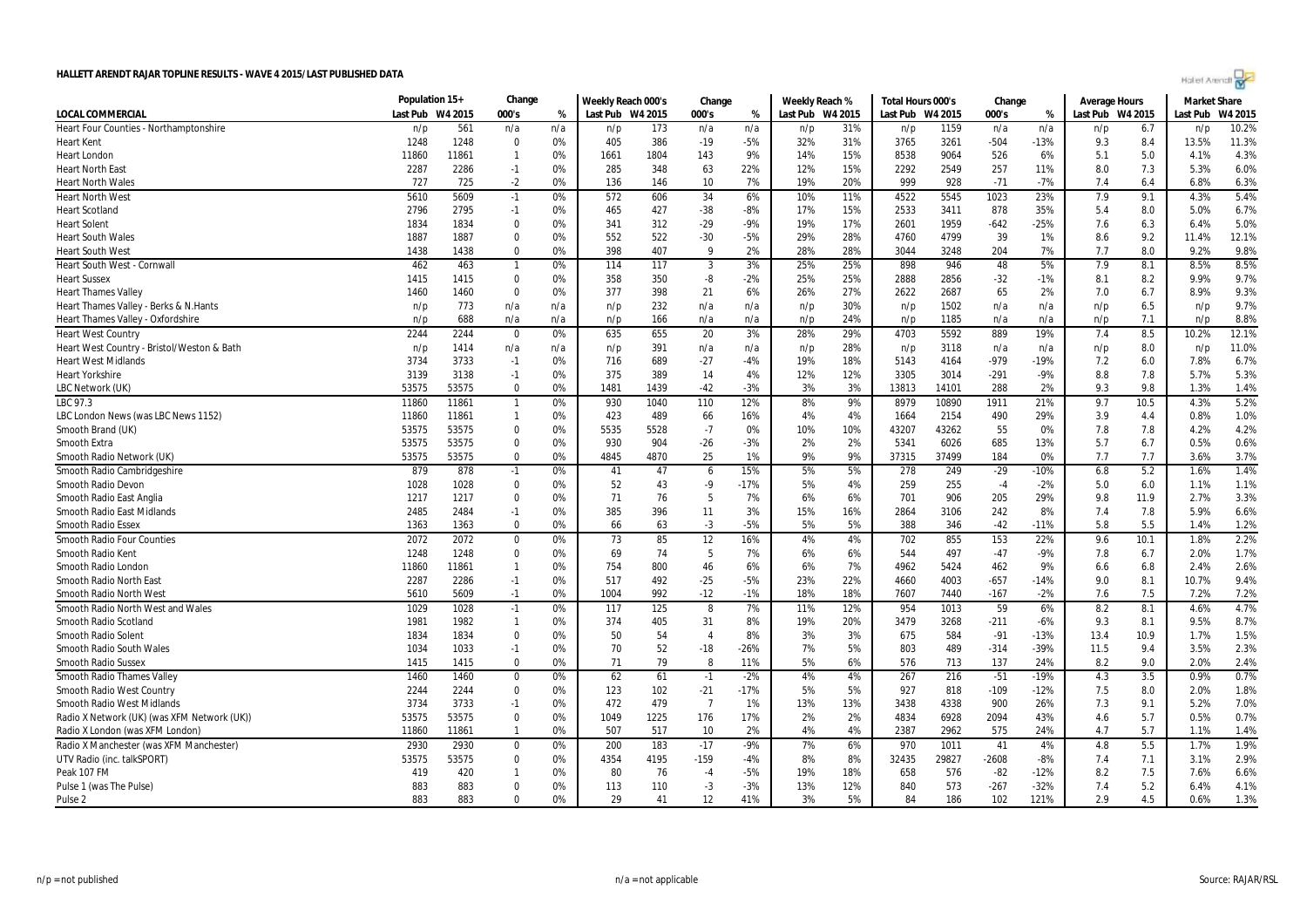| Holler Arenalt |  |  |
|----------------|--|--|
|                |  |  |

|                                             | Population 15+   |       | Change           |     | Weekly Reach 000's |      | Change         |        | Weekly Reach % |                  | Total Hours 000's |       | Change  |        | <b>Average Hours</b> |      | <b>Market Share</b> |         |
|---------------------------------------------|------------------|-------|------------------|-----|--------------------|------|----------------|--------|----------------|------------------|-------------------|-------|---------|--------|----------------------|------|---------------------|---------|
| LOCAL COMMERCIAL                            | Last Pub W4 2015 |       | 000's            | %   | Last Pub W4 2015   |      | 000's          | %      |                | Last Pub W4 2015 | Last Pub W4 2015  |       | 000's   | %      | Last Pub W4 2015     |      | Last Pub            | W4 2015 |
| Heart Four Counties - Northamptonshire      | n/p              | 561   | n/a              | n/a | n/p                | 173  | n/a            | n/a    | n/p            | 31%              | n/p               | 1159  | n/a     | n/a    | n/p                  | 6.7  | n/p                 | 10.2%   |
| Heart Kent                                  | 1248             | 1248  | $\mathbf 0$      | 0%  | 405                | 386  | $-19$          | $-5%$  | 32%            | 31%              | 3765              | 3261  | $-504$  | $-13%$ | 9.3                  | 8.4  | 13.5%               | 11.3%   |
| <b>Heart London</b>                         | 11860            | 11861 | $\mathbf{1}$     | 0%  | 1661               | 1804 | 143            | 9%     | 14%            | 15%              | 8538              | 9064  | 526     | 6%     | 5.1                  | 5.0  | 4.1%                | 4.3%    |
| Heart North East                            | 2287             | 2286  | $-1$             | 0%  | 285                | 348  | 63             | 22%    | 12%            | 15%              | 2292              | 2549  | 257     | 11%    | 8.0                  | 7.3  | 5.3%                | 6.0%    |
| Heart North Wales                           | 727              | 725   | $-2$             | 0%  | 136                | 146  | 10             | 7%     | 19%            | 20%              | 999               | 928   | $-71$   | $-7%$  | 7.4                  | 6.4  | 6.8%                | 6.3%    |
| <b>Heart North West</b>                     | 5610             | 5609  | $-1$             | 0%  | 572                | 606  | 34             | 6%     | 10%            | 11%              | 4522              | 5545  | 1023    | 23%    | 7.9                  | 9.1  | 4.3%                | 5.4%    |
| <b>Heart Scotland</b>                       | 2796             | 2795  | $-1$             | 0%  | 465                | 427  | $-38$          | $-8%$  | 17%            | 15%              | 2533              | 3411  | 878     | 35%    | 5.4                  | 8.0  | 5.0%                | 6.7%    |
| <b>Heart Solent</b>                         | 1834             | 1834  | $\Omega$         | 0%  | 341                | 312  | $-29$          | $-9%$  | 19%            | 17%              | 2601              | 1959  | $-642$  | $-25%$ | 7.6                  | 6.3  | 6.4%                | 5.0%    |
| <b>Heart South Wales</b>                    | 1887             | 1887  | $\mathbf 0$      | 0%  | 552                | 522  | $-30$          | $-5%$  | 29%            | 28%              | 4760              | 4799  | 39      | 1%     | 8.6                  | 9.2  | 11.4%               | 12.1%   |
| Heart South West                            | 1438             | 1438  | $\Omega$         | 0%  | 398                | 407  | 9              | 2%     | 28%            | 28%              | 3044              | 3248  | 204     | 7%     | 7.7                  | 8.0  | 9.2%                | 9.8%    |
| Heart South West - Cornwall                 | 462              | 463   | $\mathbf{1}$     | 0%  | 114                | 117  | 3              | 3%     | 25%            | 25%              | 898               | 946   | 48      | 5%     | 7.9                  | 8.1  | 8.5%                | 8.5%    |
| Heart Sussex                                | 1415             | 1415  | $\mathbf 0$      | 0%  | 358                | 350  | $-8$           | $-2%$  | 25%            | 25%              | 2888              | 2856  | $-32$   | $-1%$  | 8.1                  | 8.2  | 9.9%                | 9.7%    |
| <b>Heart Thames Valley</b>                  | 1460             | 1460  | $\mathbf 0$      | 0%  | 377                | 398  | 21             | 6%     | 26%            | 27%              | 2622              | 2687  | 65      | 2%     | 7.0                  | 6.7  | 8.9%                | 9.3%    |
| Heart Thames Valley - Berks & N.Hants       | n/p              | 773   | n/a              | n/a | n/p                | 232  | n/a            | n/a    | n/p            | 30%              | n/p               | 1502  | n/a     | n/a    | n/p                  | 6.5  | n/p                 | 9.7%    |
| Heart Thames Valley - Oxfordshire           | n/p              | 688   | n/a              | n/a | n/p                | 166  | n/a            | n/a    | n/p            | 24%              | n/p               | 1185  | n/a     | n/a    | n/p                  | 7.1  | n/p                 | 8.8%    |
| <b>Heart West Country</b>                   | 2244             | 2244  | $\mathbf 0$      | 0%  | 635                | 655  | 20             | 3%     | 28%            | 29%              | 4703              | 5592  | 889     | 19%    | 7.4                  | 8.5  | 10.2%               | 12.1%   |
| Heart West Country - Bristol/Weston & Bath  | n/p              | 1414  | n/a              | n/a | n/p                | 391  | n/a            | n/a    | n/p            | 28%              | n/p               | 3118  | n/a     | n/a    | n/p                  | 8.0  | n/p                 | 11.0%   |
| Heart West Midlands                         | 3734             | 3733  | $-1$             | 0%  | 716                | 689  | $-27$          | $-4%$  | 19%            | 18%              | 5143              | 4164  | $-979$  | $-19%$ | 7.2                  | 6.0  | 7.8%                | 6.7%    |
| <b>Heart Yorkshire</b>                      | 3139             | 3138  | $-1$             | 0%  | 375                | 389  | 14             | 4%     | 12%            | 12%              | 3305              | 3014  | $-291$  | $-9%$  | 8.8                  | 7.8  | 5.7%                | 5.3%    |
| LBC Network (UK)                            | 53575            | 53575 | $\Omega$         | 0%  | 1481               | 1439 | $-42$          | $-3%$  | 3%             | 3%               | 13813             | 14101 | 288     | 2%     | 9.3                  | 9.8  | 1.3%                | 1.4%    |
| LBC 97.3                                    | 11860            | 11861 | $\mathbf{1}$     | 0%  | 930                | 1040 | 110            | 12%    | 8%             | 9%               | 8979              | 10890 | 1911    | 21%    | 9.7                  | 10.5 | 4.3%                | 5.2%    |
| LBC London News (was LBC News 1152)         | 11860            | 11861 | $\mathbf{1}$     | 0%  | 423                | 489  | 66             | 16%    | 4%             | 4%               | 1664              | 2154  | 490     | 29%    | 3.9                  | 4.4  | 0.8%                | 1.0%    |
| Smooth Brand (UK)                           | 53575            | 53575 | $\mathbf 0$      | 0%  | 5535               | 5528 | $-7$           | 0%     | 10%            | 10%              | 43207             | 43262 | 55      | 0%     | 7.8                  | 7.8  | 4.2%                | 4.2%    |
| Smooth Extra                                | 53575            | 53575 | $\mathbf 0$      | 0%  | 930                | 904  | $-26$          | $-3%$  | 2%             | 2%               | 5341              | 6026  | 685     | 13%    | 5.7                  | 6.7  | 0.5%                | 0.6%    |
| Smooth Radio Network (UK)                   | 53575            | 53575 | $\Omega$         | 0%  | 4845               | 4870 | 25             | 1%     | 9%             | 9%               | 37315             | 37499 | 184     | 0%     | 7.7                  | 7.7  | 3.6%                | 3.7%    |
| Smooth Radio Cambridgeshire                 | 879              | 878   | $-1$             | 0%  | 41                 | 47   | 6              | 15%    | 5%             | 5%               | 278               | 249   | $-29$   | $-10%$ | 6.8                  | 5.2  | 1.6%                | 1.4%    |
| Smooth Radio Devon                          | 1028             | 1028  | $\mathbf 0$      | 0%  | 52                 | 43   | $-9$           | $-17%$ | 5%             | 4%               | 259               | 255   | $-4$    | $-2%$  | 5.0                  | 6.0  | 1.1%                | 1.1%    |
| Smooth Radio East Anglia                    | 1217             | 1217  | $\Omega$         | 0%  | 71                 | 76   | 5              | 7%     | 6%             | 6%               | 701               | 906   | 205     | 29%    | 9.8                  | 11.9 | 2.7%                | 3.3%    |
| <b>Smooth Radio East Midlands</b>           | 2485             | 2484  | $-1$             | 0%  | 385                | 396  | 11             | 3%     | 15%            | 16%              | 2864              | 3106  | 242     | 8%     | 7.4                  | 7.8  | 5.9%                | 6.6%    |
| <b>Smooth Radio Essex</b>                   | 1363             | 1363  | $\mathbf 0$      | 0%  | 66                 | 63   | $-3$           | $-5%$  | 5%             | 5%               | 388               | 346   | $-42$   | $-11%$ | 5.8                  | 5.5  | 1.4%                | 1.2%    |
| <b>Smooth Radio Four Counties</b>           | 2072             | 2072  | $\mathbf 0$      | 0%  | 73                 | 85   | 12             | 16%    | 4%             | 4%               | 702               | 855   | 153     | 22%    | 9.6                  | 10.1 | 1.8%                | 2.2%    |
| Smooth Radio Kent                           | 1248             | 1248  | 0                | 0%  | 69                 | 74   | 5              | 7%     | 6%             | 6%               | 544               | 497   | $-47$   | $-9%$  | 7.8                  | 6.7  | 2.0%                | 1.7%    |
| Smooth Radio London                         | 11860            | 11861 | $\mathbf{1}$     | 0%  | 754                | 800  | 46             | 6%     | 6%             | 7%               | 4962              | 5424  | 462     | 9%     | 6.6                  | 6.8  | 2.4%                | 2.6%    |
| Smooth Radio North East                     | 2287             | 2286  | $-1$             | 0%  | 517                | 492  | $-25$          | $-5%$  | 23%            | 22%              | 4660              | 4003  | $-657$  | $-14%$ | 9.0                  | 8.1  | 10.7%               | 9.4%    |
| Smooth Radio North West                     | 5610             | 5609  | $-1$             | 0%  | 1004               | 992  | $-12$          | $-1%$  | 18%            | 18%              | 7607              | 7440  | $-167$  | $-2%$  | 7.6                  | 7.5  | 7.2%                | 7.2%    |
| Smooth Radio North West and Wales           | 1029             | 1028  | $-1$             | 0%  | 117                | 125  | 8              | 7%     | 11%            | 12%              | 954               | 1013  | 59      | 6%     | 8.2                  | 8.1  | 4.6%                | 4.7%    |
| Smooth Radio Scotland                       | 1981             | 1982  | $\mathbf{1}$     | 0%  | 374                | 405  | 31             | 8%     | 19%            | 20%              | 3479              | 3268  | $-211$  | $-6%$  | 9.3                  | 8.1  | 9.5%                | 8.7%    |
| Smooth Radio Solent                         | 1834             | 1834  | $\mathbf 0$      | 0%  | 50                 | 54   | $\overline{4}$ | 8%     | 3%             | 3%               | 675               | 584   | $-91$   | $-13%$ | 13.4                 | 10.9 | 1.7%                | 1.5%    |
| Smooth Radio South Wales                    | 1034             | 1033  | $-1$             | 0%  | 70                 | 52   | $-18$          | $-26%$ | 7%             | 5%               | 803               | 489   | $-314$  | -39%   | 11.5                 | 9.4  | 3.5%                | 2.3%    |
| <b>Smooth Radio Sussex</b>                  | 1415             | 1415  | $\Omega$         | 0%  | 71                 | 79   | 8              | 11%    | 5%             | 6%               | 576               | 713   | 137     | 24%    | 8.2                  | 9.0  | 2.0%                | 2.4%    |
| <b>Smooth Radio Thames Valley</b>           | 1460             | 1460  | 0                | 0%  | 62                 | 61   | $-1$           | $-2%$  | 4%             | 4%               | 267               | 216   | $-51$   | $-19%$ | 4.3                  | 3.5  | 0.9%                | 0.7%    |
| Smooth Radio West Country                   | 2244             | 2244  | $\mathbf 0$      | 0%  | 123                | 102  | $-21$          | $-17%$ | 5%             | 5%               | 927               | 818   | $-109$  | $-12%$ | 7.5                  | 8.0  | 2.0%                | 1.8%    |
| Smooth Radio West Midlands                  | 3734             | 3733  | $-1$             | 0%  | 472                | 479  | $\overline{7}$ | 1%     | 13%            | 13%              | 3438              | 4338  | 900     | 26%    | 7.3                  | 9.1  | 5.2%                | 7.0%    |
| Radio X Network (UK) (was XFM Network (UK)) | 53575            | 53575 | $\Omega$         | 0%  | 1049               | 1225 | 176            | 17%    | 2%             | 2%               | 4834              | 6928  | 2094    | 43%    | 4.6                  | 5.7  | 0.5%                | 0.7%    |
| Radio X London (was XFM London)             | 11860            | 11861 | 1                | 0%  | 507                | 517  | 10             | 2%     | 4%             | 4%               | 2387              | 2962  | 575     | 24%    | 4.7                  | 5.7  | 1.1%                | 1.4%    |
| Radio X Manchester (was XFM Manchester)     | 2930             | 2930  | $\boldsymbol{0}$ | 0%  | 200                | 183  | $-17$          | $-9%$  | 7%             | 6%               | 970               | 1011  | 41      | 4%     | 4.8                  | 5.5  | 1.7%                | 1.9%    |
| UTV Radio (inc. talkSPORT)                  | 53575            | 53575 | $\mathbf 0$      | 0%  | 4354               | 4195 | $-159$         | $-4%$  | 8%             | 8%               | 32435             | 29827 | $-2608$ | $-8%$  | 7.4                  | 7.1  | 3.1%                | 2.9%    |
| Peak 107 FM                                 | 419              | 420   | $\mathbf{1}$     | 0%  | 80                 | 76   | $-4$           | $-5%$  | 19%            | 18%              | 658               | 576   | $-82$   | $-12%$ | 8.2                  | 7.5  | 7.6%                | 6.6%    |
| Pulse 1 (was The Pulse)                     | 883              | 883   | $\mathbf 0$      | 0%  | 113                | 110  | $-3$           | $-3%$  | 13%            | 12%              | 840               | 573   | $-267$  | $-32%$ | 7.4                  | 5.2  | 6.4%                | 4.1%    |
| Pulse <sub>2</sub>                          | 883              | 883   | $\Omega$         | 0%  | 29                 | 41   | 12             | 41%    | 3%             | 5%               | 84                | 186   | 102     | 121%   | 2.9                  | 4.5  | 0.6%                | 1.3%    |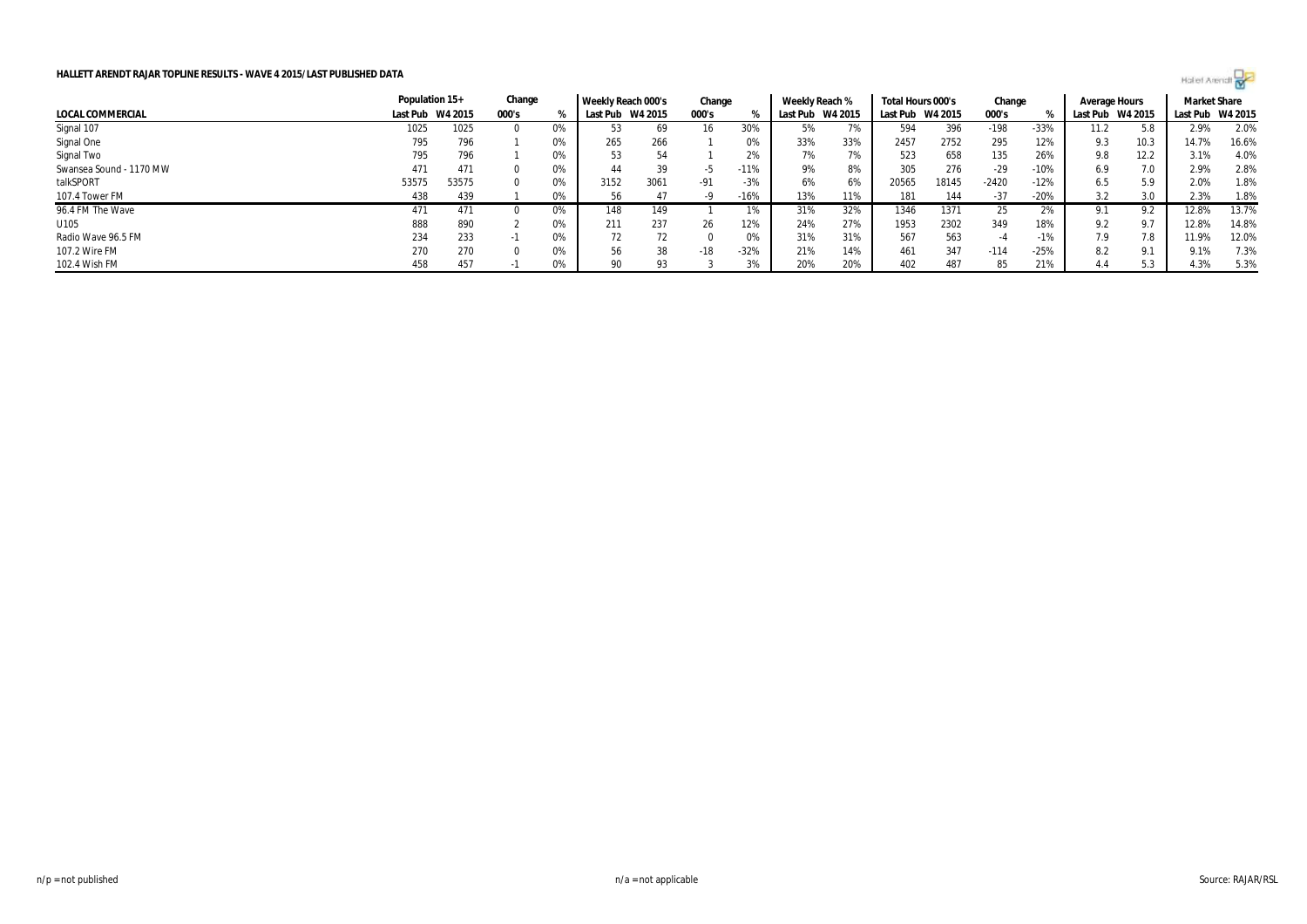|                         | Population 15+   |       | Change   |    | Weekly Reach 000's |         | Change |        | Weekly Reach %   |     | Total Hours 000's |         | Change  |        | Average Hours |         | <b>Market Share</b> |       |
|-------------------------|------------------|-------|----------|----|--------------------|---------|--------|--------|------------------|-----|-------------------|---------|---------|--------|---------------|---------|---------------------|-------|
| LOCAL COMMERCIAL        | Last Pub W4 2015 |       | 000's    |    | Last Pub           | W4 2015 | 000's  |        | Last Pub W4 2015 |     | Last Pub          | W4 2015 | 000's   |        | Last Pub      | W4 2015 | Last Pub W4 2015    |       |
| Signal 107              | 1025             | 1025  | $\Omega$ | 0% | 53                 | 69      | 16     | 30%    | 5%               | 7%  | 594               | 396     | $-198$  | $-33%$ | 11.2          | 5.8     | 2.9%                | 2.0%  |
| Signal One              | 795              | 796   |          | 0% | 265                | 266     |        | 0%     | 33%              | 33% | 2457              | 2752    | 295     | 12%    | 9.3           | 10.3    | 14.7%               | 16.6% |
| Signal Two              | 795              | 796   |          | 0% | 53                 | 54      |        | 2%     | 7%               | 7%  | 523               | 658     | 135     | 26%    | 9.8           | 12.2    | 3.1%                | 4.0%  |
| Swansea Sound - 1170 MW | 471              | 471   |          | 0% | 44                 | 39      | -5     | $-11%$ | 9%               | 8%  | 305               | 276     | $-29$   | $-10%$ | 6.9           | 7.0     | 2.9%                | 2.8%  |
| talkSPORT               | 53575            | 53575 | $\Omega$ | 0% | 3152               | 3061    | $-91$  | $-3%$  | 6%               | 6%  | 20565             | 18145   | $-2420$ | $-12%$ | 6.5           | 5.9     | 2.0%                | 1.8%  |
| 107.4 Tower FM          | 438              | 439   |          | 0% | 56                 | 47      | -9     | -16%   | 13%              | 11% | 181               | 144     | $-37$   | $-20%$ | 3.2           | 3.0     | 2.3%                | 1.8%  |
| 96.4 FM The Wave        | 471              | 471   |          | 0% | 148                | 149     |        |        | 31%              | 32% | 1346              | 1371    | 25      | 2%     |               |         | 12.8%               | 13.7% |
| U105                    | 888              | 890   |          | 0% | 211                | 237     | 26     | 12%    | 24%              | 27% | 1953              | 2302    | 349     | 18%    | 9.2           | 9.7     | 12.8%               | 14.8% |
| Radio Wave 96.5 FM      | 234              | 233   | -1       | 0% | 72                 |         |        | 0%     | 31%              | 31% | 567               | 563     | -4      | $-1%$  | 7.9           | 7.8     | 11.9%               | 12.0% |
| 107.2 Wire FM           | 270              | 270   | 0        | 0% | 56                 | 38      | $-18$  | $-32%$ | 21%              | 14% | 461               | 347     | $-114$  | $-25%$ | 8.2           | 9.1     | 9.1%                | 7.3%  |
| 102.4 Wish FM           | 458              | 457   |          | 0% | 90                 | 93      |        |        | 20%              | 20% | 402               | 487     | 85      | 21%    | 4.4           | 5.3     | 4.3%                | 5.3%  |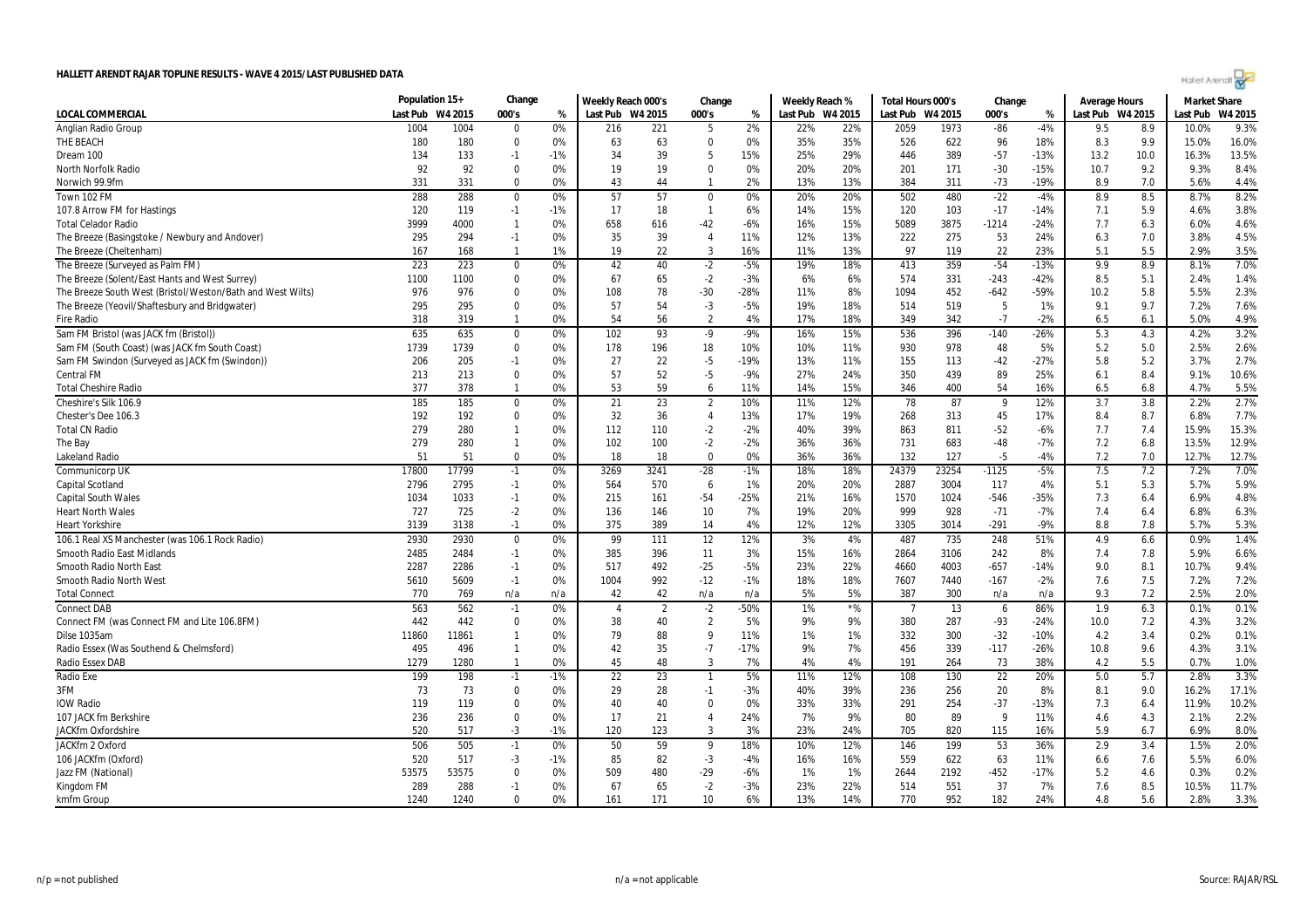| Dream 100                                                  | 134   | 133   | $-1$           | -1%   | 34             | 39   | -5             | 15%    | 25% | 29%            | 446   | 389   | $-57$   | -13%   | 13.2 | 10.0 | 16.3% | 13.5% |
|------------------------------------------------------------|-------|-------|----------------|-------|----------------|------|----------------|--------|-----|----------------|-------|-------|---------|--------|------|------|-------|-------|
| North Norfolk Radio                                        | 92    | 92    | $\Omega$       | 0%    | 19             | 19   | $\Omega$       | 0%     | 20% | 20%            | 201   | 171   | $-30$   | $-15%$ | 10.7 | 9.2  | 9.3%  | 8.4%  |
| Norwich 99.9fm                                             | 331   | 331   | $\Omega$       | 0%    | 43             | 44   |                | 2%     | 13% | 13%            | 384   | 311   | $-73$   | $-19%$ | 8.9  | 7.0  | 5.6%  | 4.4%  |
| Town 102 FM                                                | 288   | 288   | $\mathbf 0$    | 0%    | 57             | 57   | $\mathbf 0$    | 0%     | 20% | 20%            | 502   | 480   | $-22$   | $-4%$  | 8.9  | 8.5  | 8.7%  | 8.2%  |
| 107.8 Arrow FM for Hastings                                | 120   | 119   | $-1$           | $-1%$ | 17             | 18   | $\mathbf{1}$   | 6%     | 14% | 15%            | 120   | 103   | $-17$   | $-14%$ | 7.1  | 5.9  | 4.6%  | 3.8%  |
| <b>Total Celador Radio</b>                                 | 3999  | 4000  | $\mathbf{1}$   | 0%    | 658            | 616  | $-42$          | $-6%$  | 16% | 15%            | 5089  | 3875  | $-1214$ | $-24%$ | 7.7  | 6.3  | 6.0%  | 4.6%  |
| The Breeze (Basingstoke / Newbury and Andover)             | 295   | 294   | $-1$           | 0%    | 35             | 39   | $\overline{4}$ | 11%    | 12% | 13%            | 222   | 275   | 53      | 24%    | 6.3  | 7.0  | 3.8%  | 4.5%  |
| The Breeze (Cheltenham)                                    | 167   | 168   | $\overline{1}$ | 1%    | 19             | 22   | 3              | 16%    | 11% | 13%            | 97    | 119   | 22      | 23%    | 5.1  | 5.5  | 2.9%  | 3.5%  |
| The Breeze (Surveyed as Palm FM)                           | 223   | 223   | $\mathbf 0$    | 0%    | 42             | 40   | $-2$           | $-5%$  | 19% | 18%            | 413   | 359   | $-54$   | $-13%$ | 9.9  | 8.9  | 8.1%  | 7.0%  |
| The Breeze (Solent/East Hants and West Surrey)             | 1100  | 1100  | 0              | 0%    | 67             | 65   | $-2$           | $-3%$  | 6%  | 6%             | 574   | 331   | $-243$  | $-42%$ | 8.5  | 5.1  | 2.4%  | 1.4%  |
| The Breeze South West (Bristol/Weston/Bath and West Wilts) | 976   | 976   | 0              | 0%    | 108            | 78   | $-30$          | $-28%$ | 11% | 8%             | 1094  | 452   | $-642$  | $-59%$ | 10.2 | 5.8  | 5.5%  | 2.3%  |
| The Breeze (Yeovil/Shaftesbury and Bridgwater)             | 295   | 295   | $\mathbf 0$    | 0%    | 57             | 54   | $-3$           | $-5%$  | 19% | 18%            | 514   | 519   | 5       | 1%     | 9.1  | 9.7  | 7.2%  | 7.6%  |
| <b>Fire Radio</b>                                          | 318   | 319   | $\mathbf{1}$   | 0%    | 54             | 56   | $\overline{2}$ | 4%     | 17% | 18%            | 349   | 342   | $-7$    | $-2%$  | 6.5  | 6.1  | 5.0%  | 4.9%  |
| Sam FM Bristol (was JACK fm (Bristol))                     | 635   | 635   | 0              | 0%    | 102            | 93   | -9             | $-9%$  | 16% | 15%            | 536   | 396   | $-140$  | -26%   | 5.3  | 4.3  | 4.2%  | 3.2%  |
| Sam FM (South Coast) (was JACK fm South Coast)             | 1739  | 1739  | $\mathbf 0$    | 0%    | 178            | 196  | 18             | 10%    | 10% | 11%            | 930   | 978   | 48      | 5%     | 5.2  | 5.0  | 2.5%  | 2.6%  |
| Sam FM Swindon (Surveyed as JACK fm (Swindon))             | 206   | 205   | $-1$           | 0%    | 27             | 22   | $-5$           | $-19%$ | 13% | 11%            | 155   | 113   | $-42$   | $-27%$ | 5.8  | 5.2  | 3.7%  | 2.7%  |
| <b>Central FM</b>                                          | 213   | 213   | $\mathbf 0$    | 0%    | 57             | 52   | $-5$           | $-9%$  | 27% | 24%            | 350   | 439   | 89      | 25%    | 6.1  | 8.4  | 9.1%  | 10.6% |
| <b>Total Cheshire Radio</b>                                | 377   | 378   | $\mathbf{1}$   | 0%    | 53             | 59   | 6              | 11%    | 14% | 15%            | 346   | 400   | 54      | 16%    | 6.5  | 6.8  | 4.7%  | 5.5%  |
| Cheshire's Silk 106.9                                      | 185   | 185   | $\mathbf 0$    | 0%    | 21             | 23   | $\overline{2}$ | 10%    | 11% | 12%            | 78    | 87    | - 9     | 12%    | 3.7  | 3.8  | 2.2%  | 2.7%  |
| Chester's Dee 106.3                                        | 192   | 192   | $\mathbf 0$    | 0%    | 32             | 36   | $\overline{4}$ | 13%    | 17% | 19%            | 268   | 313   | 45      | 17%    | 8.4  | 8.7  | 6.8%  | 7.7%  |
| <b>Total CN Radio</b>                                      | 279   | 280   | $\mathbf{1}$   | 0%    | 112            | 110  | $-2$           | $-2%$  | 40% | 39%            | 863   | 811   | $-52$   | $-6%$  | 7.7  | 7.4  | 15.9% | 15.3% |
| The Bay                                                    | 279   | 280   | $\mathbf{1}$   | 0%    | 102            | 100  | $-2$           | $-2%$  | 36% | 36%            | 731   | 683   | $-48$   | $-7%$  | 7.2  | 6.8  | 13.5% | 12.9% |
| Lakeland Radio                                             | 51    | 51    | $\mathbf 0$    | 0%    | 18             | 18   | $\Omega$       | 0%     | 36% | 36%            | 132   | 127   | $-5$    | $-4%$  | 7.2  | 7.0  | 12.7% | 12.7% |
| Communicorp UK                                             | 17800 | 17799 | $-1$           | 0%    | 3269           | 3241 | $-28$          | $-1%$  | 18% | 18%            | 24379 | 23254 | $-1125$ | $-5%$  | 7.5  | 7.2  | 7.2%  | 7.0%  |
| Capital Scotland                                           | 2796  | 2795  | $-1$           | 0%    | 564            | 570  | 6              | 1%     | 20% | 20%            | 2887  | 3004  | 117     | 4%     | 5.1  | 5.3  | 5.7%  | 5.9%  |
| <b>Capital South Wales</b>                                 | 1034  | 1033  | $-1$           | 0%    | 215            | 161  | $-54$          | $-25%$ | 21% | 16%            | 1570  | 1024  | $-546$  | $-35%$ | 7.3  | 6.4  | 6.9%  | 4.8%  |
| <b>Heart North Wales</b>                                   | 727   | 725   | $-2$           | 0%    | 136            | 146  | 10             | 7%     | 19% | 20%            | 999   | 928   | $-71$   | $-7%$  | 7.4  | 6.4  | 6.8%  | 6.3%  |
| <b>Heart Yorkshire</b>                                     | 3139  | 3138  | $-1$           | 0%    | 375            | 389  | 14             | 4%     | 12% | 12%            | 3305  | 3014  | $-291$  | $-9%$  | 8.8  | 7.8  | 5.7%  | 5.3%  |
| 106.1 Real XS Manchester (was 106.1 Rock Radio)            | 2930  | 2930  | $\mathbf 0$    | 0%    | 99             | 111  | 12             | 12%    | 3%  | 4%             | 487   | 735   | 248     | 51%    | 4.9  | 6.6  | 0.9%  | 1.4%  |
| Smooth Radio East Midlands                                 | 2485  | 2484  | $-1$           | 0%    | 385            | 396  | 11             | 3%     | 15% | 16%            | 2864  | 3106  | 242     | 8%     | 7.4  | 7.8  | 5.9%  | 6.6%  |
| Smooth Radio North East                                    | 2287  | 2286  | $-1$           | 0%    | 517            | 492  | $-25$          | $-5%$  | 23% | 22%            | 4660  | 4003  | $-657$  | $-14%$ | 9.0  | 8.1  | 10.7% | 9.4%  |
| <b>Smooth Radio North West</b>                             | 5610  | 5609  | $-1$           | 0%    | 1004           | 992  | $-12$          | $-1%$  | 18% | 18%            | 7607  | 7440  | $-167$  | $-2%$  | 7.6  | 7.5  | 7.2%  | 7.2%  |
| <b>Total Connect</b>                                       | 770   | 769   | n/a            | n/a   | 42             | 42   | n/a            | n/a    | 5%  | 5%             | 387   | 300   | n/a     | n/a    | 9.3  | 7.2  | 2.5%  | 2.0%  |
| <b>Connect DAB</b>                                         | 563   | 562   | $-1$           | 0%    | $\overline{4}$ | 2    | $-2$           | -50%   | 1%  | ${}^{\star}\%$ | 7     | 13    | - 6     | 86%    | 1.9  | 6.3  | 0.1%  | 0.1%  |
| Connect FM (was Connect FM and Lite 106.8FM)               | 442   | 442   | 0              | 0%    | 38             | 40   | $\overline{2}$ | 5%     | 9%  | 9%             | 380   | 287   | -93     | $-24%$ | 10.0 | 7.2  | 4.3%  | 3.2%  |
| Dilse 1035am                                               | 11860 | 11861 | $\mathbf{1}$   | 0%    | 79             | 88   | 9              | 11%    | 1%  | 1%             | 332   | 300   | $-32$   | $-10%$ | 4.2  | 3.4  | 0.2%  | 0.1%  |
| Radio Essex (Was Southend & Chelmsford)                    | 495   | 496   | $\mathbf{1}$   | 0%    | 42             | 35   | $-7$           | $-17%$ | 9%  | 7%             | 456   | 339   | $-117$  | $-26%$ | 10.8 | 9.6  | 4.3%  | 3.1%  |
| Radio Essex DAB                                            | 1279  | 1280  | $\mathbf{1}$   | 0%    | 45             | 48   | 3              | 7%     | 4%  | 4%             | 191   | 264   | 73      | 38%    | 4.2  | 5.5  | 0.7%  | 1.0%  |
| Radio Exe                                                  | 199   | 198   | $-1$           | $-1%$ | 22             | 23   | $\mathbf{1}$   | 5%     | 11% | 12%            | 108   | 130   | 22      | 20%    | 5.0  | 5.7  | 2.8%  | 3.3%  |
| 3FM                                                        | 73    | 73    | $\mathbf 0$    | 0%    | 29             | 28   | $-1$           | $-3%$  | 40% | 39%            | 236   | 256   | 20      | 8%     | 8.1  | 9.0  | 16.2% | 17.1% |
| <b>IOW Radio</b>                                           | 119   | 119   | $\mathbf 0$    | 0%    | 40             | 40   | $\Omega$       | 0%     | 33% | 33%            | 291   | 254   | $-37$   | $-13%$ | 7.3  | 6.4  | 11.9% | 10.2% |
| 107 JACK fm Berkshire                                      | 236   | 236   | $\mathbf 0$    | 0%    | 17             | 21   | $\overline{4}$ | 24%    | 7%  | 9%             | 80    | 89    | q       | 11%    | 4.6  | 4.3  | 2.1%  | 2.2%  |
| JACKfm Oxfordshire                                         | 520   | 517   | $-3$           | $-1%$ | 120            | 123  | 3              | 3%     | 23% | 24%            | 705   | 820   | 115     | 16%    | 5.9  | 6.7  | 6.9%  | 8.0%  |
| JACKfm 2 Oxford                                            | 506   | 505   | $-1$           | 0%    | 50             | 59   | -9             | 18%    | 10% | 12%            | 146   | 199   | 53      | 36%    | 2.9  | 3.4  | 1.5%  | 2.0%  |
| 106 JACKfm (Oxford)                                        | 520   | 517   | $-3$           | $-1%$ | 85             | 82   | $-3$           | $-4%$  | 16% | 16%            | 559   | 622   | 63      | 11%    | 6.6  | 7.6  | 5.5%  | 6.0%  |
| Jazz FM (National)                                         | 53575 | 53575 | 0              | 0%    | 509            | 480  | $-29$          | $-6%$  | 1%  | 1%             | 2644  | 2192  | $-452$  | $-17%$ | 5.2  | 4.6  | 0.3%  | 0.2%  |
| Kingdom FM                                                 | 289   | 288   | $-1$           | 0%    | 67             | 65   | $-2$           | $-3%$  | 23% | 22%            | 514   | 551   | 37      | 7%     | 7.6  | 8.5  | 10.5% | 11.7% |
| kmfm Group                                                 | 1240  | 1240  | $\Omega$       | 0%    | 161            | 171  | 10             | 6%     | 13% | 14%            | 770   | 952   | 182     | 24%    | 4.8  | 5.6  | 2.8%  | 3.3%  |
|                                                            |       |       |                |       |                |      |                |        |     |                |       |       |         |        |      |      |       |       |

LOCAL COMMERCIAL Last Pub W4 2015 000's % |Last Pub W4 2015 K |Last Pub W4 2015 |Last Pub M9 2015 COCAL COMMERCIAL Last Pub W4 2015

Anglian Radio Group 1004 1004 0 0% 216 221 5 2% 22% 22% 2059 1973 -86 -4% 9.5 8.9 10.0% 9.3% THE BEACH 190 180 180 0 0% 63 63 0 0% 35% 35% 526 622 96 18% 8.3 9.9 15.0% 16.0%

**Population 15+ Change Weekly Reach 000's Change Weekly Reach % Total Hours 000's Change Average Hours Market Share**

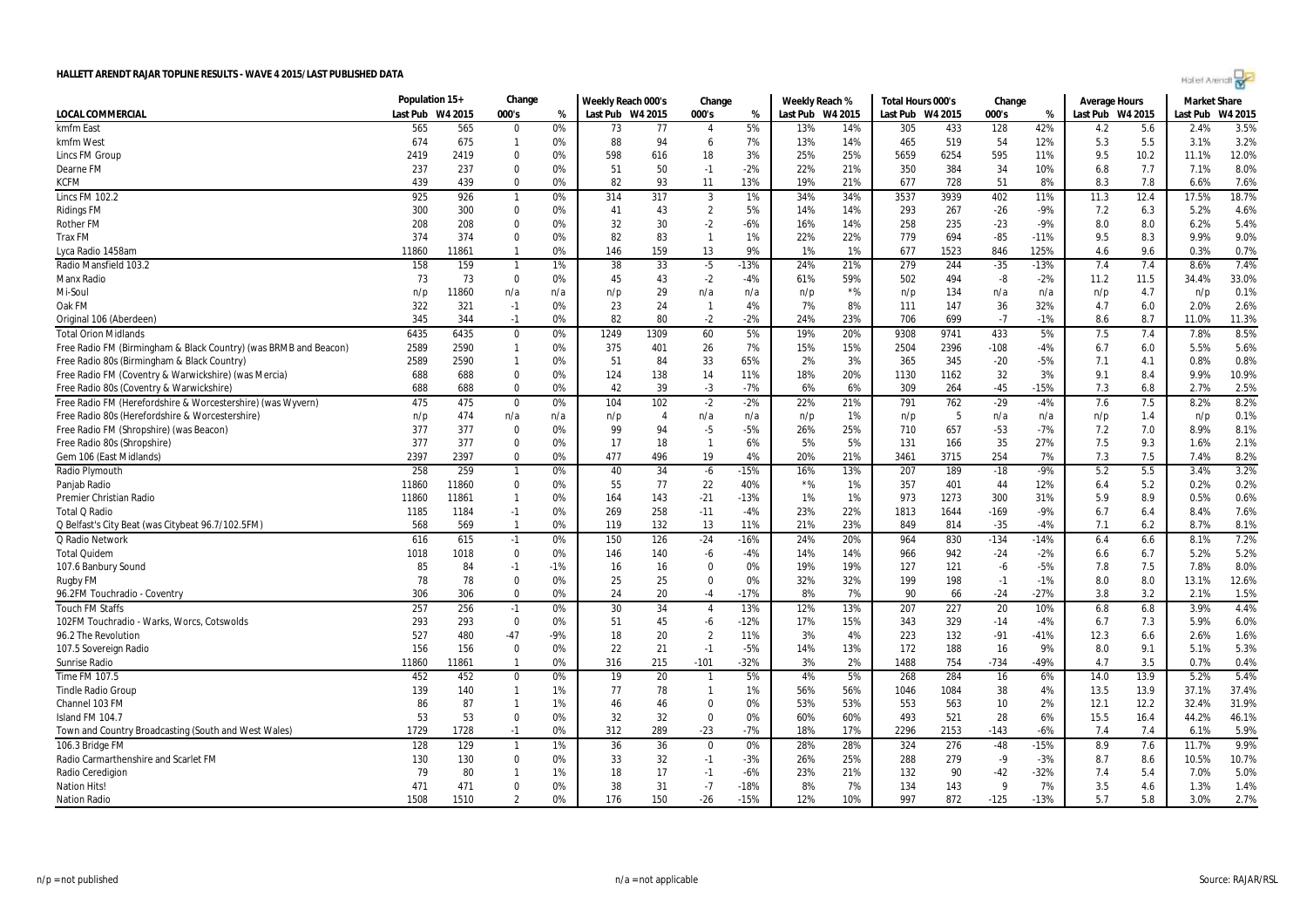| n/p = not published | n/a = not applicable | Source: RAJAR/RSL |
|---------------------|----------------------|-------------------|

|                                                                  | Population 15+ |         | Change         |       | Weekly Reach 000's |                | Change         |        | Weekly Reach %   |       | Total Hours 000's |      | Change |        | <b>Average Hours</b> |      | <b>Market Share</b> |         |
|------------------------------------------------------------------|----------------|---------|----------------|-------|--------------------|----------------|----------------|--------|------------------|-------|-------------------|------|--------|--------|----------------------|------|---------------------|---------|
| <b>LOCAL COMMERCIAL</b>                                          | Last Pub       | W4 2015 | 000's          | %     | Last Pub W4 2015   |                | 000's          | %      | Last Pub W4 2015 |       | Last Pub W4 2015  |      | 000's  | %      | Last Pub W4 2015     |      | Last Pub            | W4 2015 |
| kmfm East                                                        | 565            | 565     | $\Omega$       | 0%    | 73                 | 77             | 4              | 5%     | 13%              | 14%   | 305               | 433  | 128    | 42%    | 4.2                  | 5.6  | 2.4%                | 3.5%    |
| kmfm West                                                        | 674            | 675     | $\mathbf{1}$   | 0%    | 88                 | 94             | 6              | 7%     | 13%              | 14%   | 465               | 519  | 54     | 12%    | 5.3                  | 5.5  | 3.1%                | 3.2%    |
| Lincs FM Group                                                   | 2419           | 2419    | $\Omega$       | 0%    | 598                | 616            | 18             | 3%     | 25%              | 25%   | 5659              | 6254 | 595    | 11%    | 9.5                  | 10.2 | 11.1%               | 12.0%   |
| Dearne FM                                                        | 237            | 237     | $\Omega$       | 0%    | 51                 | 50             | $-1$           | $-2%$  | 22%              | 21%   | 350               | 384  | 34     | 10%    | 6.8                  | 7.7  | 7.1%                | 8.0%    |
| <b>KCFM</b>                                                      | 439            | 439     | $\Omega$       | 0%    | 82                 | 93             | 11             | 13%    | 19%              | 21%   | 677               | 728  | 51     | 8%     | 8.3                  | 7.8  | 6.6%                | 7.6%    |
| <b>Lincs FM 102.2</b>                                            | 925            | 926     | $\mathbf{1}$   | 0%    | 314                | 317            | 3              | 1%     | 34%              | 34%   | 3537              | 3939 | 402    | 11%    | 11.3                 | 12.4 | 17.5%               | 18.7%   |
| <b>Ridings FM</b>                                                | 300            | 300     | $\Omega$       | 0%    | 41                 | 43             | $\overline{2}$ | 5%     | 14%              | 14%   | 293               | 267  | $-26$  | $-9%$  | 7.2                  | 6.3  | 5.2%                | 4.6%    |
| <b>Rother FM</b>                                                 | 208            | 208     | $\Omega$       | 0%    | 32                 | 30             | $-2$           | $-6%$  | 16%              | 14%   | 258               | 235  | $-23$  | $-9%$  | 8.0                  | 8.0  | 6.2%                | 5.4%    |
| <b>Trax FM</b>                                                   | 374            | 374     | $\Omega$       | 0%    | 82                 | 83             | $\mathbf{1}$   | 1%     | 22%              | 22%   | 779               | 694  | $-85$  | $-11%$ | 9.5                  | 8.3  | 9.9%                | 9.0%    |
| Lyca Radio 1458am                                                | 11860          | 11861   | $\mathbf{1}$   | 0%    | 146                | 159            | 13             | 9%     | 1%               | 1%    | 677               | 1523 | 846    | 125%   | 4.6                  | 9.6  | 0.3%                | 0.7%    |
| Radio Mansfield 103.2                                            | 158            | 159     | $\overline{1}$ | 1%    | 38                 | 33             | $-5$           | $-13%$ | 24%              | 21%   | 279               | 244  | $-35$  | $-13%$ | 7.4                  | 7.4  | 8.6%                | 7.4%    |
| <b>Manx Radio</b>                                                | 73             | 73      | $\mathbf 0$    | 0%    | 45                 | 43             | $-2$           | $-4%$  | 61%              | 59%   | 502               | 494  | -8     | $-2%$  | 11.2                 | 11.5 | 34.4%               | 33.0%   |
| Mi-Soul                                                          | n/p            | 11860   | n/a            | n/a   | n/p                | 29             | n/a            | n/a    | n/p              | $*$ % | n/p               | 134  | n/a    | n/a    | n/p                  | 4.7  | n/p                 | 0.1%    |
| Oak FM                                                           | 322            | 321     | $-1$           | 0%    | 23                 | 24             | $\overline{1}$ | 4%     | 7%               | 8%    | 111               | 147  | 36     | 32%    | 4.7                  | 6.0  | 2.0%                | 2.6%    |
| Original 106 (Aberdeen)                                          | 345            | 344     | $-1$           | 0%    | 82                 | 80             | $-2$           | $-2%$  | 24%              | 23%   | 706               | 699  | $-7$   | $-1%$  | 8.6                  | 8.7  | 11.0%               | 11.3%   |
| <b>Total Orion Midlands</b>                                      | 6435           | 6435    | $\mathbf 0$    | 0%    | 1249               | 1309           | 60             | 5%     | 19%              | 20%   | 9308              | 9741 | 433    | 5%     | 7.5                  | 7.4  | 7.8%                | 8.5%    |
| Free Radio FM (Birmingham & Black Country) (was BRMB and Beacon) | 2589           | 2590    | $\mathbf{1}$   | 0%    | 375                | 401            | 26             | 7%     | 15%              | 15%   | 2504              | 2396 | $-108$ | $-4%$  | 6.7                  | 6.0  | 5.5%                | 5.6%    |
| Free Radio 80s (Birmingham & Black Country)                      | 2589           | 2590    | $\mathbf{1}$   | 0%    | 51                 | 84             | 33             | 65%    | 2%               | 3%    | 365               | 345  | $-20$  | $-5%$  | 7.1                  | 4.1  | 0.8%                | 0.8%    |
| Free Radio FM (Coventry & Warwickshire) (was Mercia)             | 688            | 688     | $\Omega$       | 0%    | 124                | 138            | 14             | 11%    | 18%              | 20%   | 1130              | 1162 | 32     | 3%     | 9.1                  | 8.4  | 9.9%                | 10.9%   |
| Free Radio 80s (Coventry & Warwickshire)                         | 688            | 688     | $\Omega$       | 0%    | 42                 | 39             | $-3$           | $-7%$  | 6%               | 6%    | 309               | 264  | $-45$  | $-15%$ | 7.3                  | 6.8  | 2.7%                | 2.5%    |
| Free Radio FM (Herefordshire & Worcestershire) (was Wyvern)      | 475            | 475     | $\Omega$       | 0%    | 104                | 102            | $-2$           | $-2%$  | 22%              | 21%   | 791               | 762  | $-29$  | $-4%$  | 7.6                  | 7.5  | 8.2%                | 8.2%    |
| Free Radio 80s (Herefordshire & Worcestershire)                  | n/p            | 474     | n/a            | n/a   | n/p                | $\overline{4}$ | n/a            | n/a    | n/p              | 1%    | n/p               | 5    | n/a    | n/a    | n/p                  | 1.4  | n/p                 | 0.1%    |
| Free Radio FM (Shropshire) (was Beacon)                          | 377            | 377     | $\Omega$       | 0%    | 99                 | 94             | $-5$           | $-5%$  | 26%              | 25%   | 710               | 657  | $-53$  | $-7%$  | 7.2                  | 7.0  | 8.9%                | 8.1%    |
| Free Radio 80s (Shropshire)                                      | 377            | 377     | $\Omega$       | 0%    | 17                 | 18             | $\mathbf{1}$   | 6%     | 5%               | 5%    | 131               | 166  | 35     | 27%    | 7.5                  | 9.3  | 1.6%                | 2.1%    |
| Gem 106 (East Midlands)                                          | 2397           | 2397    | $\Omega$       | 0%    | 477                | 496            | 19             | 4%     | 20%              | 21%   | 3461              | 3715 | 254    | 7%     | 7.3                  | 7.5  | 7.4%                | 8.2%    |
| Radio Plymouth                                                   | 258            | 259     | $\mathbf{1}$   | 0%    | 40                 | 34             | $-6$           | $-15%$ | 16%              | 13%   | 207               | 189  | $-18$  | $-9%$  | 5.2                  | 5.5  | 3.4%                | 3.2%    |
| Panjab Radio                                                     | 11860          | 11860   | $\mathbf 0$    | 0%    | 55                 | 77             | 22             | 40%    | $*$ %            | 1%    | 357               | 401  | 44     | 12%    | 6.4                  | 5.2  | 0.2%                | 0.2%    |
| Premier Christian Radio                                          | 11860          | 11861   | $\mathbf{1}$   | 0%    | 164                | 143            | $-21$          | $-13%$ | 1%               | 1%    | 973               | 1273 | 300    | 31%    | 5.9                  | 8.9  | 0.5%                | 0.6%    |
| <b>Total Q Radio</b>                                             | 1185           | 1184    | $-1$           | 0%    | 269                | 258            | $-11$          | $-4%$  | 23%              | 22%   | 1813              | 1644 | $-169$ | $-9%$  | 6.7                  | 6.4  | 8.4%                | 7.6%    |
| Q Belfast's City Beat (was Citybeat 96.7/102.5FM)                | 568            | 569     | $\mathbf{1}$   | 0%    | 119                | 132            | 13             | 11%    | 21%              | 23%   | 849               | 814  | $-35$  | $-4%$  | 7.1                  | 6.2  | 8.7%                | 8.1%    |
| Q Radio Network                                                  | 616            | 615     | $-1$           | 0%    | 150                | 126            | $-24$          | $-16%$ | 24%              | 20%   | 964               | 830  | $-134$ | $-14%$ | 6.4                  | 6.6  | 8.1%                | 7.2%    |
| <b>Total Quidem</b>                                              | 1018           | 1018    | $\Omega$       | 0%    | 146                | 140            | -6             | $-4%$  | 14%              | 14%   | 966               | 942  | $-24$  | $-2%$  | 6.6                  | 6.7  | 5.2%                | 5.2%    |
| 107.6 Banbury Sound                                              | 85             | 84      | $-1$           | $-1%$ | 16                 | 16             | $\Omega$       | 0%     | 19%              | 19%   | 127               | 121  | $-6$   | $-5%$  | 7.8                  | 7.5  | 7.8%                | 8.0%    |
| <b>Rugby FM</b>                                                  | 78             | 78      | $\Omega$       | 0%    | 25                 | 25             | $\Omega$       | 0%     | 32%              | 32%   | 199               | 198  | $-1$   | $-1%$  | 8.0                  | 8.0  | 13.1%               | 12.6%   |
| 96.2FM Touchradio - Coventry                                     | 306            | 306     | $\Omega$       | 0%    | 24                 | 20             | $-4$           | $-17%$ | 8%               | 7%    | 90                | 66   | $-24$  | $-27%$ | 3.8                  | 3.2  | 2.1%                | 1.5%    |
| <b>Touch FM Staffs</b>                                           | 257            | 256     | $-1$           | 0%    | 30                 | 34             | $\overline{4}$ | 13%    | 12%              | 13%   | 207               | 227  | 20     | 10%    | 6.8                  | 6.8  | 3.9%                | 4.4%    |
| 102FM Touchradio - Warks, Worcs, Cotswolds                       | 293            | 293     | $\Omega$       | 0%    | 51                 | 45             | $-6$           | $-12%$ | 17%              | 15%   | 343               | 329  | $-14$  | $-4%$  | 6.7                  | 7.3  | 5.9%                | 6.0%    |
| 96.2 The Revolution                                              | 527            | 480     | $-47$          | $-9%$ | 18                 | 20             | $\overline{2}$ | 11%    | 3%               | 4%    | 223               | 132  | $-91$  | $-41%$ | 12.3                 | 6.6  | 2.6%                | 1.6%    |
| 107.5 Sovereign Radio                                            | 156            | 156     | $\Omega$       | 0%    | 22                 | 21             | $-1$           | $-5%$  | 14%              | 13%   | 172               | 188  | 16     | 9%     | 8.0                  | 9.1  | 5.1%                | 5.3%    |
| <b>Sunrise Radio</b>                                             | 11860          | 11861   | $\mathbf{1}$   | 0%    | 316                | 215            | $-101$         | $-32%$ | 3%               | 2%    | 1488              | 754  | $-734$ | $-49%$ | 4.7                  | 3.5  | 0.7%                | 0.4%    |
| Time FM 107.5                                                    | 452            | 452     | $\Omega$       | 0%    | 19                 | 20             | $\mathbf{1}$   | 5%     | 4%               | 5%    | 268               | 284  | 16     | 6%     | 14.0                 | 13.9 | 5.2%                | 5.4%    |
| <b>Tindle Radio Group</b>                                        | 139            | 140     | $\mathbf{1}$   | 1%    | 77                 | 78             | $\mathbf{1}$   | 1%     | 56%              | 56%   | 1046              | 1084 | 38     | 4%     | 13.5                 | 13.9 | 37.1%               | 37.4%   |
| Channel 103 FM                                                   | 86             | 87      | $\mathbf{1}$   | 1%    | 46                 | 46             | $\Omega$       | 0%     | 53%              | 53%   | 553               | 563  | 10     | 2%     | 12.1                 | 12.2 | 32.4%               | 31.9%   |
| Island FM 104.7                                                  | 53             | 53      | $\Omega$       | 0%    | 32                 | 32             | $\Omega$       | 0%     | 60%              | 60%   | 493               | 521  | 28     | 6%     | 15.5                 | 16.4 | 44.2%               | 46.1%   |
| Town and Country Broadcasting (South and West Wales)             | 1729           | 1728    | $-1$           | 0%    | 312                | 289            | $-23$          | $-7%$  | 18%              | 17%   | 2296              | 2153 | $-143$ | $-6%$  | 7.4                  | 7.4  | 6.1%                | 5.9%    |
| 106.3 Bridge FM                                                  | 128            | 129     | $\mathbf{1}$   | 1%    | 36                 | 36             | $\Omega$       | 0%     | 28%              | 28%   | 324               | 276  | $-48$  | $-15%$ | 8.9                  | 7.6  | 11.7%               | 9.9%    |
| Radio Carmarthenshire and Scarlet FM                             | 130            | 130     | $\Omega$       | 0%    | 33                 | 32             | $-1$           | $-3%$  | 26%              | 25%   | 288               | 279  | $-9$   | $-3%$  | 8.7                  | 8.6  | 10.5%               | 10.7%   |
| Radio Ceredigion                                                 | 79             | 80      | $\mathbf{1}$   | 1%    | 18                 | 17             | $-1$           | $-6%$  | 23%              | 21%   | 132               | 90   | $-42$  | $-32%$ | 7.4                  | 5.4  | 7.0%                | 5.0%    |
| <b>Nation Hits!</b>                                              | 471            | 471     | $\Omega$       | 0%    | 38                 | 31             | $-7$           | $-18%$ | 8%               | 7%    | 134               | 143  | 9      | 7%     | 3.5                  | 4.6  | 1.3%                | 1.4%    |
| <b>Nation Radio</b>                                              | 1508           | 1510    | $\mathcal{D}$  | 0%    | 176                | 150            | $-26$          | $-15%$ | 12%              | 10%   | 997               | 872  | $-125$ | $-13%$ | 5.7                  | 5.8  | 3.0%                | 2.7%    |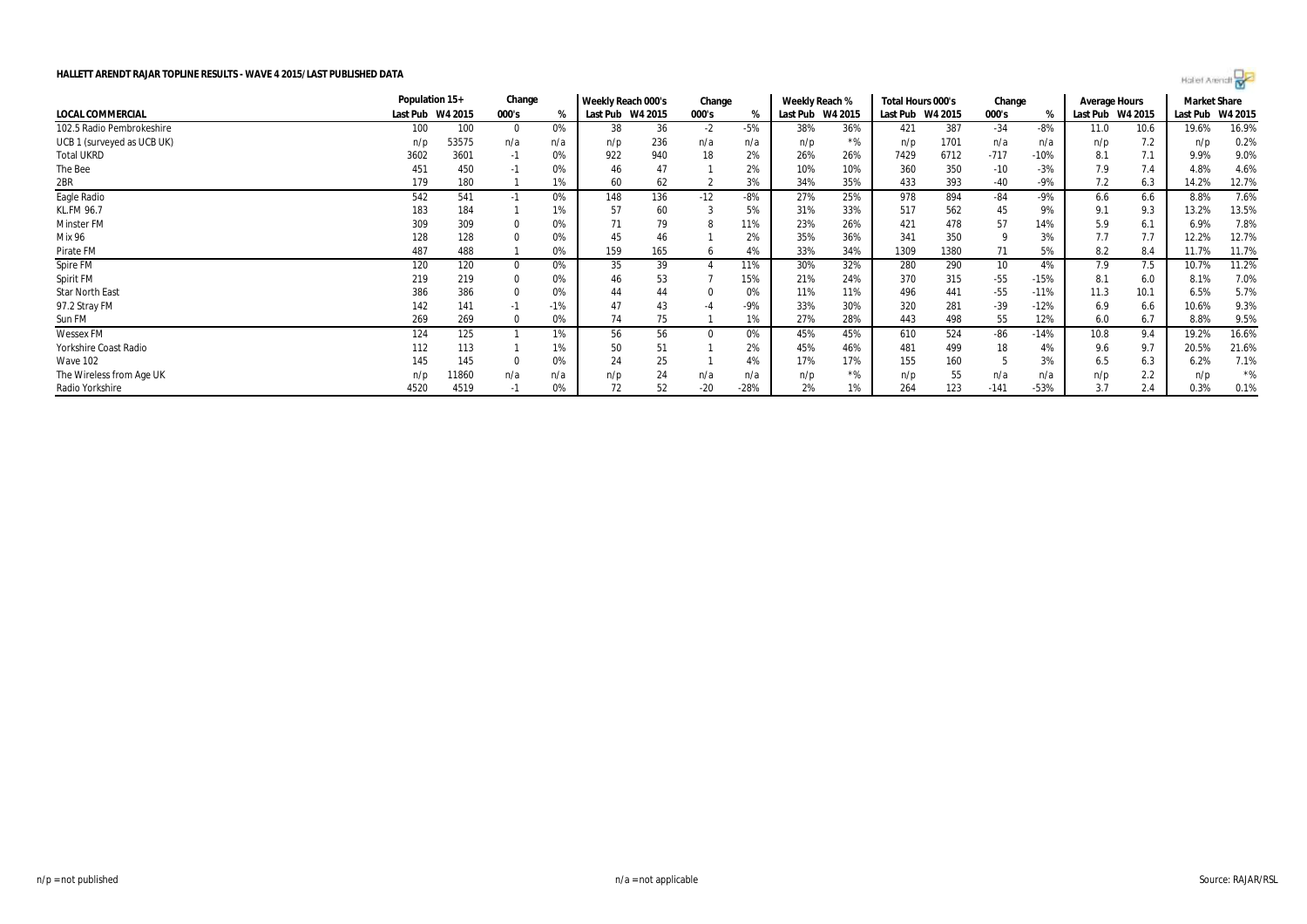|                            | Population 15+   |       | Change   |       | Weekly Reach 000's |     | Change |       | Weekly Reach %   |       | Total Hours 000's |      | Change |        | Average Hours |         | <b>Market Share</b> |         |
|----------------------------|------------------|-------|----------|-------|--------------------|-----|--------|-------|------------------|-------|-------------------|------|--------|--------|---------------|---------|---------------------|---------|
| LOCAL COMMERCIAL           | Last Pub W4 2015 |       | 000's    | %     | Last Pub W4 2015   |     | 000's  | %     | Last Pub W4 2015 |       | Last Pub W4 2015  |      | 000's  |        | Last Pub      | W4 2015 | Last Pub            | W4 2015 |
| 102.5 Radio Pembrokeshire  | 100              | 100   | $\Omega$ | 0%    | 38                 | 36  | $-2$   | $-5%$ | 38%              | 36%   | 421               | 387  | $-34$  | $-8%$  | 11.0          | 10.6    | 19.6%               | 16.9%   |
| UCB 1 (surveyed as UCB UK) | n/p              | 53575 | n/a      | n/a   | n/p                | 236 | n/a    | n/a   | n/p              | $*$ % | n/p               | 1701 | n/a    | n/a    | n/p           | 7.2     | n/p                 | 0.2%    |
| <b>Total UKRD</b>          | 3602             | 3601  | -1       | 0%    | 922                | 940 |        | 2%    | 26%              | 26%   | 7429              | 6712 | $-717$ | $-10%$ | 8.1           | 7.1     | 9.9%                | 9.0%    |
| The Bee                    | 451              | 450   | -1       |       | 46                 |     |        | 2%    | 10%              | 10%   | 360               | 350  | $-10$  | $-3%$  | 7.9           | 7.4     | 4.8%                | 4.6%    |
| 2BR                        | 179              | 180   |          | 1%    | 60                 | 62  |        | 3%    | 34%              | 35%   | 433               | 393  | -40    | -9%    | 7.2           | 6.3     | 14.2%               | 12.7%   |
| Eagle Radio                | 542              | 541   | -1       | 0%    | 148                | 136 | $-12$  | $-8%$ | 27%              | 25%   | 978               | 894  | -84    | $-9%$  | 6.6           | 6.6     | 8.8%                | 7.6%    |
| KL.FM 96.7                 | 183              | 184   |          | 1%    | 57                 | 60  |        | 5%    | 31%              | 33%   | 517               | 562  | 45     | 9%     | 9.1           | 9.3     | 13.2%               | 13.5%   |
| Minster FM                 | 309              | 309   |          | 0%    |                    | 79  |        | 11%   | 23%              | 26%   | 421               | 478  |        | 14%    | 5.9           | 6.1     | 6.9%                | 7.8%    |
| Mix 96                     | 128              | 128   |          | 0%    | 45                 | 46  |        | 2%    | 35%              | 36%   | 341               | 350  |        | 3%     | 7.7           | 7.7     | 12.2%               | 12.7%   |
| Pirate FM                  | 487              | 488   |          | 0%    | 159                | 165 |        | 4%    | 33%              | 34%   | 1309              | 1380 | 71     | 5%     | 8.2           | 8.4     | 11.7%               | 11.7%   |
| Spire FM                   | 120              | 120   | $\Omega$ | 0%    | 35                 | 39  |        | 11%   | 30%              | 32%   | 280               | 290  | 10     | 4%     | 7.9           | 7.5     | 10.7%               | 11.2%   |
| Spirit FM                  | 219              | 219   |          | 0%    | 46                 | 53  |        | 15%   | 21%              | 24%   | 370               | 315  | $-55$  | $-15%$ | 8.1           | 6.0     | 8.1%                | 7.0%    |
| <b>Star North East</b>     | 386              | 386   |          | 0%    | 44                 | 44  |        | 0%    | 11%              | 11%   | 496               | 441  | -55    | $-11%$ | 11.3          | 10.1    | 6.5%                | 5.7%    |
| 97.2 Stray FM              | 142              | 141   | - 1      | $-1%$ | 47                 | 43  |        | $-9%$ | 33%              | 30%   | 320               | 281  | $-39$  | $-12%$ | 6.9           | 6.6     | 10.6%               | 9.3%    |
| Sun FM                     | 269              | 269   |          | 0%    | 74                 | 75  |        | 1%    | 27%              | 28%   | 443               | 498  | 55     | 12%    | 6.0           | 6.7     | 8.8%                | 9.5%    |
| Wessex FM                  | 124              | 125   |          | 1%    | 56                 | 56  |        | 0%    | 45%              | 45%   | 610               | 524  | -86    | $-14%$ | 10.8          | 9.4     | 19.2%               | 16.6%   |
| Yorkshire Coast Radio      | 112              | 113   |          | 1%    | 50                 | 51  |        | 2%    | 45%              | 46%   | 481               | 499  | 18     | 4%     | 9.6           | 9.7     | 20.5%               | 21.6%   |
| Wave 102                   | 145              | 145   |          | 0%    | 24                 | 25  |        | 4%    | 17%              | 17%   | 155               | 160  |        | 3%     | 6.5           | 6.3     | 6.2%                | 7.1%    |
| The Wireless from Age UK   | n/p              | 11860 | n/a      | n/a   | n/p                | 24  | n/a    | n/a   | n/p              | $*$ % | n/p               | 55   | n/a    | n/a    | n/p           | 2.2     | n/p                 | $*$ %   |

Radio Yorkshire 4520 4519 -1 0% | 72 52 -28% | 2% 1% | 264 123 -141 -53% | 3.7 2.4 | 0.3% 0.1%

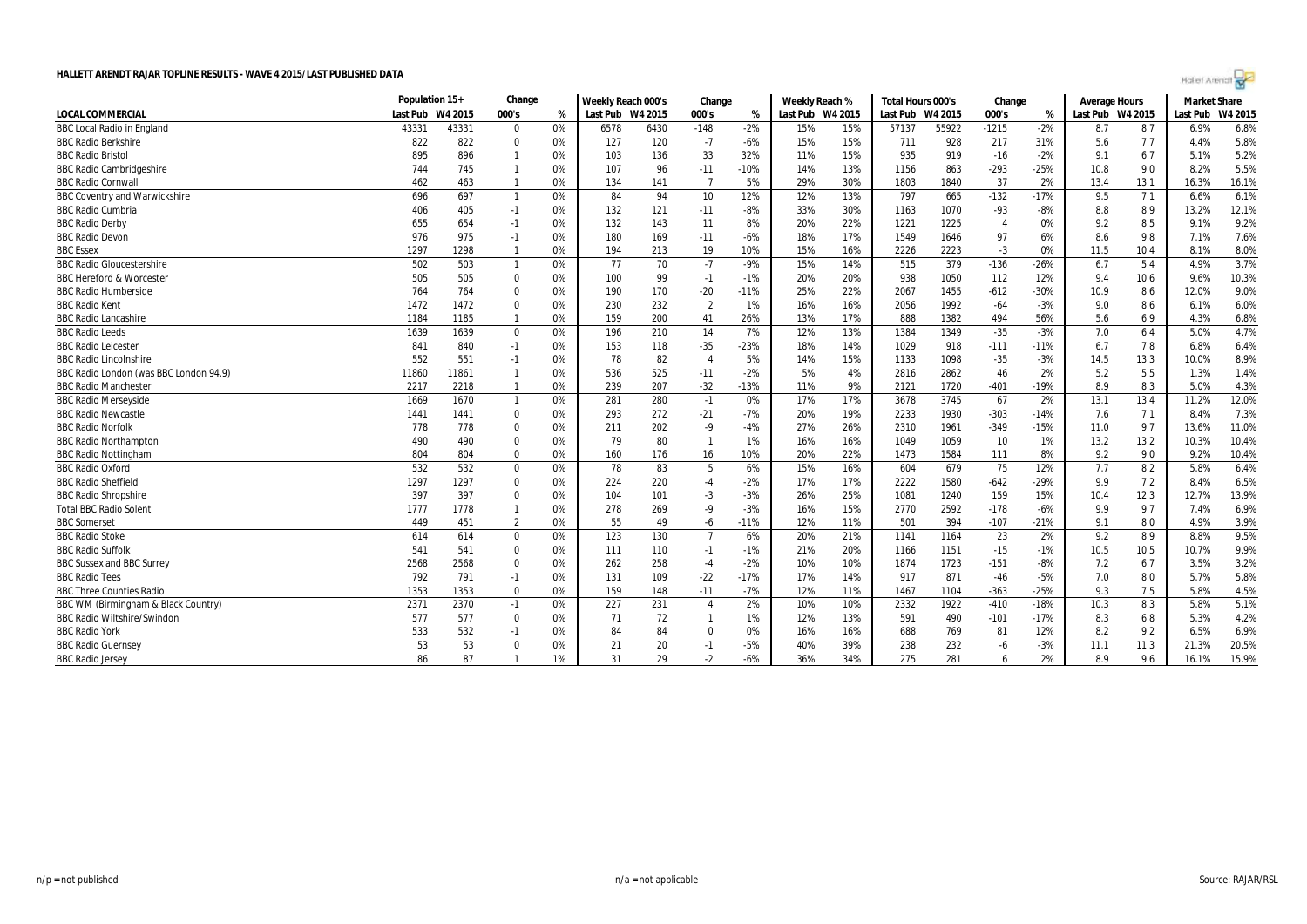|                                        | Population 15+   |       | Change       |    | Weekly Reach 000's |      | Change         |        | Weekly Reach %   |     | Total Hours 000's |       | Change         |        | <b>Average Hours</b> |      | <b>Market Share</b> |         |
|----------------------------------------|------------------|-------|--------------|----|--------------------|------|----------------|--------|------------------|-----|-------------------|-------|----------------|--------|----------------------|------|---------------------|---------|
| LOCAL COMMERCIAL                       | Last Pub W4 2015 |       | 000's        | %  | Last Pub W4 2015   |      | 000's          | %      | Last Pub W4 2015 |     | Last Pub W4 2015  |       | 000's          | %      | Last Pub W4 2015     |      | Last Pub            | W4 2015 |
| <b>BBC Local Radio in England</b>      | 43331            | 43331 | $\Omega$     | 0% | 6578               | 6430 | $-148$         | $-2%$  | 15%              | 15% | 57137             | 55922 | $-1215$        | $-2%$  | 8.7                  | 8.7  | 6.9%                | 6.8%    |
| <b>BBC Radio Berkshire</b>             | 822              | 822   | $\mathbf 0$  | 0% | 127                | 120  | $-7$           | $-6%$  | 15%              | 15% | 711               | 928   | 217            | 31%    | 5.6                  | 7.7  | 4.4%                | 5.8%    |
| <b>BBC Radio Bristol</b>               | 895              | 896   | $\mathbf{1}$ | 0% | 103                | 136  | 33             | 32%    | 11%              | 15% | 935               | 919   | $-16$          | $-2%$  | 9.1                  | 6.7  | 5.1%                | 5.2%    |
| <b>BBC Radio Cambridgeshire</b>        | 744              | 745   | $\mathbf{1}$ | 0% | 107                | 96   | $-11$          | $-10%$ | 14%              | 13% | 1156              | 863   | $-293$         | $-25%$ | 10.8                 | 9.0  | 8.2%                | 5.5%    |
| <b>BBC Radio Cornwall</b>              | 462              | 463   | $\mathbf{1}$ | 0% | 134                | 141  | 7              | 5%     | 29%              | 30% | 1803              | 1840  | 37             | 2%     | 13.4                 | 13.1 | 16.3%               | 16.1%   |
| <b>BBC Coventry and Warwickshire</b>   | 696              | 697   | $\mathbf{1}$ | 0% | 84                 | 94   | 10             | 12%    | 12%              | 13% | 797               | 665   | $-132$         | $-17%$ | 9.5                  | 7.1  | 6.6%                | 6.1%    |
| <b>BBC Radio Cumbria</b>               | 406              | 405   | $-1$         | 0% | 132                | 121  | $-11$          | $-8%$  | 33%              | 30% | 1163              | 1070  | -93            | $-8%$  | 8.8                  | 8.9  | 13.2%               | 12.1%   |
| <b>BBC Radio Derby</b>                 | 655              | 654   | $-1$         | 0% | 132                | 143  | 11             | 8%     | 20%              | 22% | 1221              | 1225  | $\overline{4}$ | 0%     | 9.2                  | 8.5  | 9.1%                | 9.2%    |
| <b>BBC Radio Devon</b>                 | 976              | 975   | $-1$         | 0% | 180                | 169  | $-11$          | $-6%$  | 18%              | 17% | 1549              | 1646  | 97             | 6%     | 8.6                  | 9.8  | 7.1%                | 7.6%    |
| <b>BBC Essex</b>                       | 1297             | 1298  | $\mathbf{1}$ | 0% | 194                | 213  | 19             | 10%    | 15%              | 16% | 2226              | 2223  | $-3$           | 0%     | 11.5                 | 10.4 | 8.1%                | 8.0%    |
| <b>BBC Radio Gloucestershire</b>       | 502              | 503   | $\mathbf{1}$ | 0% | 77                 | 70   | $-7$           | $-9%$  | 15%              | 14% | 515               | 379   | $-136$         | $-26%$ | 6.7                  | 5.4  | 4.9%                | 3.7%    |
| <b>BBC Hereford &amp; Worcester</b>    | 505              | 505   | $\Omega$     | 0% | 100                | 99   | $-1$           | $-1%$  | 20%              | 20% | 938               | 1050  | 112            | 12%    | 9.4                  | 10.6 | 9.6%                | 10.3%   |
| <b>BBC Radio Humberside</b>            | 764              | 764   | 0            | 0% | 190                | 170  | $-20$          | $-11%$ | 25%              | 22% | 2067              | 1455  | $-612$         | $-30%$ | 10.9                 | 8.6  | 12.0%               | 9.0%    |
| <b>BBC Radio Kent</b>                  | 1472             | 1472  | $\Omega$     | 0% | 230                | 232  | $\overline{2}$ | 1%     | 16%              | 16% | 2056              | 1992  | $-64$          | $-3%$  | 9.0                  | 8.6  | 6.1%                | 6.0%    |
| <b>BBC Radio Lancashire</b>            | 1184             | 1185  | 1            | 0% | 159                | 200  | 41             | 26%    | 13%              | 17% | 888               | 1382  | 494            | 56%    | 5.6                  | 6.9  | 4.3%                | 6.8%    |
| <b>BBC Radio Leeds</b>                 | 1639             | 1639  | $\mathbf 0$  | 0% | 196                | 210  | 14             | 7%     | 12%              | 13% | 1384              | 1349  | $-35$          | $-3%$  | 7.0                  | 6.4  | 5.0%                | 4.7%    |
| <b>BBC Radio Leicester</b>             | 841              | 840   | $-1$         | 0% | 153                | 118  | $-35$          | $-23%$ | 18%              | 14% | 1029              | 918   | $-111$         | $-11%$ | 6.7                  | 7.8  | 6.8%                | 6.4%    |
| <b>BBC Radio Lincolnshire</b>          | 552              | 551   | $-1$         | 0% | 78                 | 82   | $\overline{4}$ | 5%     | 14%              | 15% | 1133              | 1098  | $-35$          | $-3%$  | 14.5                 | 13.3 | 10.0%               | 8.9%    |
| BBC Radio London (was BBC London 94.9) | 11860            | 11861 | $\mathbf{1}$ | 0% | 536                | 525  | $-11$          | $-2%$  | 5%               | 4%  | 2816              | 2862  | 46             | 2%     | 5.2                  | 5.5  | 1.3%                | 1.4%    |
| <b>BBC Radio Manchester</b>            | 2217             | 2218  | $\mathbf{1}$ | 0% | 239                | 207  | $-32$          | $-13%$ | 11%              | 9%  | 2121              | 1720  | $-401$         | $-19%$ | 8.9                  | 8.3  | 5.0%                | 4.3%    |
| <b>BBC Radio Merseyside</b>            | 1669             | 1670  | $\mathbf{1}$ | 0% | 281                | 280  | $-1$           | 0%     | 17%              | 17% | 3678              | 3745  | 67             | 2%     | 13.1                 | 13.4 | 11.2%               | 12.0%   |
| <b>BBC Radio Newcastle</b>             | 1441             | 1441  | $\mathbf 0$  | 0% | 293                | 272  | $-21$          | $-7%$  | 20%              | 19% | 2233              | 1930  | $-303$         | $-14%$ | 7.6                  | 7.1  | 8.4%                | 7.3%    |
| <b>BBC Radio Norfolk</b>               | 778              | 778   | $\mathbf 0$  | 0% | 211                | 202  | $-9$           | $-4%$  | 27%              | 26% | 2310              | 1961  | $-349$         | $-15%$ | 11.0                 | 9.7  | 13.6%               | 11.0%   |
| <b>BBC Radio Northampton</b>           | 490              | 490   | $\mathbf 0$  | 0% | 79                 | 80   | $\mathbf{1}$   | 1%     | 16%              | 16% | 1049              | 1059  | 10             | 1%     | 13.2                 | 13.2 | 10.3%               | 10.4%   |
| BBC Radio Nottingham                   | 804              | 804   | $\Omega$     | 0% | 160                | 176  | 16             | 10%    | 20%              | 22% | 1473              | 1584  | 111            | 8%     | 9.2                  | 9.0  | 9.2%                | 10.4%   |
| <b>BBC Radio Oxford</b>                | 532              | 532   | $\mathbf 0$  | 0% | 78                 | 83   | 5              | 6%     | 15%              | 16% | 604               | 679   | 75             | 12%    | 7.7                  | 8.2  | 5.8%                | 6.4%    |
| <b>BBC Radio Sheffield</b>             | 1297             | 1297  | $\mathbf 0$  | 0% | 224                | 220  | $-4$           | $-2%$  | 17%              | 17% | 2222              | 1580  | $-642$         | $-29%$ | 9.9                  | 7.2  | 8.4%                | 6.5%    |
| <b>BBC Radio Shropshire</b>            | 397              | 397   | $\mathbf 0$  | 0% | 104                | 101  | $-3$           | $-3%$  | 26%              | 25% | 1081              | 1240  | 159            | 15%    | 10.4                 | 12.3 | 12.7%               | 13.9%   |
| <b>Total BBC Radio Solent</b>          | 1777             | 1778  | $\mathbf{1}$ | 0% | 278                | 269  | -9             | $-3%$  | 16%              | 15% | 2770              | 2592  | $-178$         | $-6%$  | 9.9                  | 9.7  | 7.4%                | 6.9%    |
| <b>BBC</b> Somerset                    | 449              | 451   | 2            | 0% | 55                 | 49   | -6             | $-11%$ | 12%              | 11% | 501               | 394   | $-107$         | $-21%$ | 9.1                  | 8.0  | 4.9%                | 3.9%    |
| <b>BBC Radio Stoke</b>                 | 614              | 614   | $\mathbf 0$  | 0% | 123                | 130  | $\overline{7}$ | 6%     | 20%              | 21% | 1141              | 1164  | 23             | 2%     | 9.2                  | 8.9  | 8.8%                | 9.5%    |
| <b>BBC Radio Suffolk</b>               | 541              | 541   | $\mathbf 0$  | 0% | 111                | 110  | $-1$           | $-1%$  | 21%              | 20% | 1166              | 1151  | $-15$          | $-1%$  | 10.5                 | 10.5 | 10.7%               | 9.9%    |
| <b>BBC Sussex and BBC Surrey</b>       | 2568             | 2568  | $\mathbf 0$  | 0% | 262                | 258  | $-4$           | $-2%$  | 10%              | 10% | 1874              | 1723  | $-151$         | $-8%$  | 7.2                  | 6.7  | 3.5%                | 3.2%    |
| <b>BBC Radio Tees</b>                  | 792              | 791   | $-1$         | 0% | 131                | 109  | $-22$          | $-17%$ | 17%              | 14% | 917               | 871   | $-46$          | $-5%$  | 7.0                  | 8.0  | 5.7%                | 5.8%    |
| BBC Three Counties Radio               | 1353             | 1353  | $\Omega$     | 0% | 159                | 148  | $-11$          | $-7%$  | 12%              | 11% | 1467              | 1104  | $-363$         | $-25%$ | 9.3                  | 7.5  | 5.8%                | 4.5%    |
| BBC WM (Birmingham & Black Country)    | 2371             | 2370  | $-1$         | 0% | 227                | 231  | $\overline{4}$ | 2%     | 10%              | 10% | 2332              | 1922  | $-410$         | $-18%$ | 10.3                 | 8.3  | 5.8%                | 5.1%    |
| <b>BBC Radio Wiltshire/Swindon</b>     | 577              | 577   | $\Omega$     | 0% | 71                 | 72   | -1             | 1%     | 12%              | 13% | 591               | 490   | $-101$         | -17%   | 8.3                  | 6.8  | 5.3%                | 4.2%    |
| <b>BBC Radio York</b>                  | 533              | 532   | $-1$         | 0% | 84                 | 84   | $\Omega$       | 0%     | 16%              | 16% | 688               | 769   | 81             | 12%    | 8.2                  | 9.2  | 6.5%                | 6.9%    |
| <b>BBC Radio Guernsey</b>              | 53               | 53    | 0            | 0% | 21                 | 20   | $-1$           | $-5%$  | 40%              | 39% | 238               | 232   | -6             | $-3%$  | 11.1                 | 11.3 | 21.3%               | 20.5%   |
| <b>BBC Radio Jersey</b>                | 86               | 87    |              | 1% | 31                 | 29   | -2             | $-6%$  | 36%              | 34% | 275               | 281   | 6              | 2%     | 8.9                  | 9.6  | 16.1%               | 15.9%   |